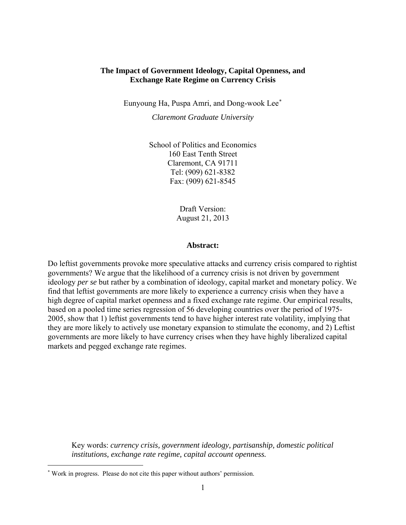## **The Impact of Government Ideology, Capital Openness, and Exchange Rate Regime on Currency Crisis**

Eunyoung Ha, Puspa Amri, and Dong-wook Lee[∗](#page-0-0)

*Claremont Graduate University* 

School of Politics and Economics 160 East Tenth Street Claremont, CA 91711 Tel: (909) 621-8382 Fax: (909) 621-8545

> Draft Version: August 21, 2013

#### **Abstract:**

Do leftist governments provoke more speculative attacks and currency crisis compared to rightist governments? We argue that the likelihood of a currency crisis is not driven by government ideology *per se* but rather by a combination of ideology, capital market and monetary policy. We find that leftist governments are more likely to experience a currency crisis when they have a high degree of capital market openness and a fixed exchange rate regime. Our empirical results, based on a pooled time series regression of 56 developing countries over the period of 1975- 2005, show that 1) leftist governments tend to have higher interest rate volatility, implying that they are more likely to actively use monetary expansion to stimulate the economy, and 2) Leftist governments are more likely to have currency crises when they have highly liberalized capital markets and pegged exchange rate regimes.

Key words: *currency crisis, government ideology, partisanship, domestic political institutions, exchange rate regime, capital account openness.*

<span id="page-0-0"></span><sup>∗</sup> Work in progress. Please do not cite this paper without authors' permission.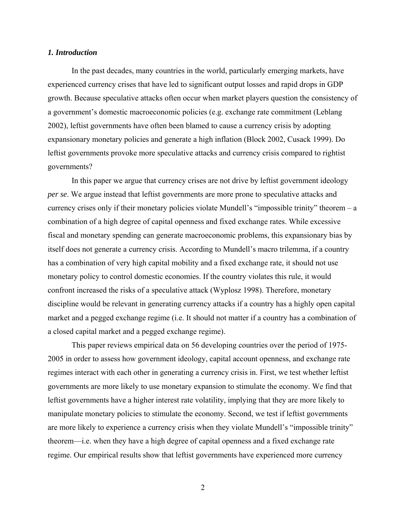#### *1. Introduction*

 In the past decades, many countries in the world, particularly emerging markets, have experienced currency crises that have led to significant output losses and rapid drops in GDP growth. Because speculative attacks often occur when market players question the consistency of a government's domestic macroeconomic policies (e.g. exchange rate commitment (Leblang 2002), leftist governments have often been blamed to cause a currency crisis by adopting expansionary monetary policies and generate a high inflation (Block 2002, Cusack 1999). Do leftist governments provoke more speculative attacks and currency crisis compared to rightist governments?

In this paper we argue that currency crises are not drive by leftist government ideology *per se*. We argue instead that leftist governments are more prone to speculative attacks and currency crises only if their monetary policies violate Mundell's "impossible trinity" theorem – a combination of a high degree of capital openness and fixed exchange rates. While excessive fiscal and monetary spending can generate macroeconomic problems, this expansionary bias by itself does not generate a currency crisis. According to Mundell's macro trilemma, if a country has a combination of very high capital mobility and a fixed exchange rate, it should not use monetary policy to control domestic economies. If the country violates this rule, it would confront increased the risks of a speculative attack (Wyplosz 1998). Therefore, monetary discipline would be relevant in generating currency attacks if a country has a highly open capital market and a pegged exchange regime (i.e. It should not matter if a country has a combination of a closed capital market and a pegged exchange regime).

This paper reviews empirical data on 56 developing countries over the period of 1975- 2005 in order to assess how government ideology, capital account openness, and exchange rate regimes interact with each other in generating a currency crisis in. First, we test whether leftist governments are more likely to use monetary expansion to stimulate the economy. We find that leftist governments have a higher interest rate volatility, implying that they are more likely to manipulate monetary policies to stimulate the economy. Second, we test if leftist governments are more likely to experience a currency crisis when they violate Mundell's "impossible trinity" theorem—i.e. when they have a high degree of capital openness and a fixed exchange rate regime. Our empirical results show that leftist governments have experienced more currency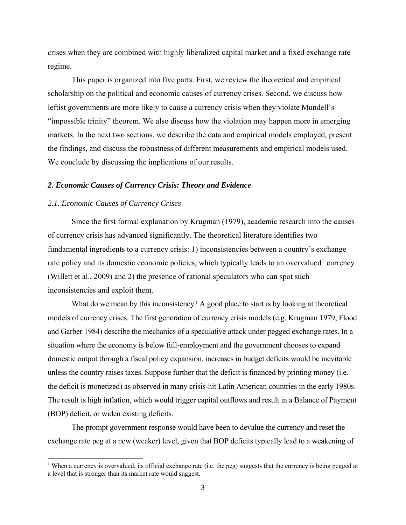crises when they are combined with highly liberalized capital market and a fixed exchange rate regime.

This paper is organized into five parts. First, we review the theoretical and empirical scholarship on the political and economic causes of currency crises. Second, we discuss how leftist governments are more likely to cause a currency crisis when they violate Mundell's "impossible trinity" theorem. We also discuss how the violation may happen more in emerging markets. In the next two sections, we describe the data and empirical models employed, present the findings, and discuss the robustness of different measurements and empirical models used. We conclude by discussing the implications of our results.

#### *2. Economic Causes of Currency Crisis: Theory and Evidence*

#### *2.1. Economic Causes of Currency Crises*

1

Since the first formal explanation by Krugman (1979), academic research into the causes of currency crisis has advanced significantly. The theoretical literature identifies two fundamental ingredients to a currency crisis: 1) inconsistencies between a country's exchange rate policy and its domestic economic policies, which typically leads to an overvalued currency (Willett et al., 2009) and 2) the presence of rational speculators who can spot such inconsistencies and exploit them.

What do we mean by this inconsistency? A good place to start is by looking at theoretical models of currency crises. The first generation of currency crisis models (e.g. Krugman 1979, Flood and Garber 1984) describe the mechanics of a speculative attack under pegged exchange rates. In a situation where the economy is below full-employment and the government chooses to expand domestic output through a fiscal policy expansion, increases in budget deficits would be inevitable unless the country raises taxes. Suppose further that the deficit is financed by printing money (i.e. the deficit is monetized) as observed in many crisis-hit Latin American countries in the early 1980s. The result is high inflation, which would trigger capital outflows and result in a Balance of Payment (BOP) deficit, or widen existing deficits.

 The prompt government response would have been to devalue the currency and reset the exchange rate peg at a new (weaker) level, given that BOP deficits typically lead to a weakening of

<span id="page-2-0"></span><sup>&</sup>lt;sup>1</sup> When a currency is overvalued, its official exchange rate (i.e. the peg) suggests that the currency is being pegged at a level that is stronger than its market rate would suggest.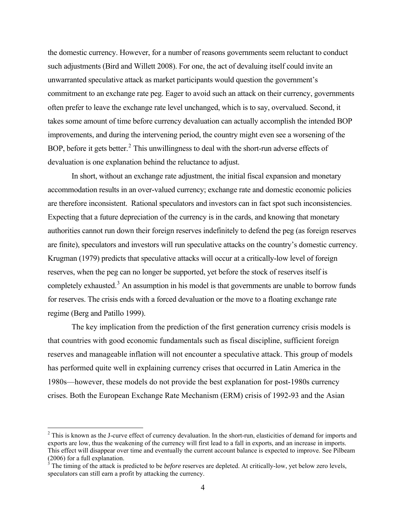the domestic currency. However, for a number of reasons governments seem reluctant to conduct such adjustments (Bird and Willett 2008). For one, the act of devaluing itself could invite an unwarranted speculative attack as market participants would question the government's commitment to an exchange rate peg. Eager to avoid such an attack on their currency, governments often prefer to leave the exchange rate level unchanged, which is to say, overvalued. Second, it takes some amount of time before currency devaluation can actually accomplish the intended BOP improvements, and during the intervening period, the country might even see a worsening of the BOP, before it gets better.<sup>[2](#page-3-0)</sup> This unwillingness to deal with the short-run adverse effects of devaluation is one explanation behind the reluctance to adjust.

 In short, without an exchange rate adjustment, the initial fiscal expansion and monetary accommodation results in an over-valued currency; exchange rate and domestic economic policies are therefore inconsistent. Rational speculators and investors can in fact spot such inconsistencies. Expecting that a future depreciation of the currency is in the cards, and knowing that monetary authorities cannot run down their foreign reserves indefinitely to defend the peg (as foreign reserves are finite), speculators and investors will run speculative attacks on the country's domestic currency. Krugman (1979) predicts that speculative attacks will occur at a critically-low level of foreign reserves, when the peg can no longer be supported, yet before the stock of reserves itself is completely exhausted.<sup>[3](#page-3-1)</sup> An assumption in his model is that governments are unable to borrow funds for reserves. The crisis ends with a forced devaluation or the move to a floating exchange rate regime (Berg and Patillo 1999).

The key implication from the prediction of the first generation currency crisis models is that countries with good economic fundamentals such as fiscal discipline, sufficient foreign reserves and manageable inflation will not encounter a speculative attack. This group of models has performed quite well in explaining currency crises that occurred in Latin America in the 1980s—however, these models do not provide the best explanation for post-1980s currency crises. Both the European Exchange Rate Mechanism (ERM) crisis of 1992-93 and the Asian

 $2^2$  This is known as the J-curve effect of currency devaluation. In the short-run, elasticities of demand for imports and exports are low, thus the weakening of the currency will first lead to a fall in exports, and an increase in imports. This effect will disappear over time and eventually the current account balance is expected to improve. See Pilbeam (2006) for a full explanation. 3 The timing of the attack is predicted to be *before* reserves are depleted. At critically-low, yet below zero levels,

<span id="page-3-1"></span><span id="page-3-0"></span>speculators can still earn a profit by attacking the currency.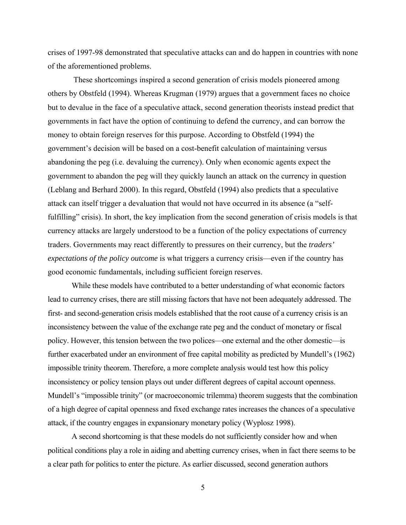crises of 1997-98 demonstrated that speculative attacks can and do happen in countries with none of the aforementioned problems.

 These shortcomings inspired a second generation of crisis models pioneered among others by Obstfeld (1994). Whereas Krugman (1979) argues that a government faces no choice but to devalue in the face of a speculative attack, second generation theorists instead predict that governments in fact have the option of continuing to defend the currency, and can borrow the money to obtain foreign reserves for this purpose. According to Obstfeld (1994) the government's decision will be based on a cost-benefit calculation of maintaining versus abandoning the peg (i.e. devaluing the currency). Only when economic agents expect the government to abandon the peg will they quickly launch an attack on the currency in question (Leblang and Berhard 2000). In this regard, Obstfeld (1994) also predicts that a speculative attack can itself trigger a devaluation that would not have occurred in its absence (a "selffulfilling" crisis). In short, the key implication from the second generation of crisis models is that currency attacks are largely understood to be a function of the policy expectations of currency traders. Governments may react differently to pressures on their currency, but the *traders' expectations of the policy outcome* is what triggers a currency crisis—even if the country has good economic fundamentals, including sufficient foreign reserves.

 While these models have contributed to a better understanding of what economic factors lead to currency crises, there are still missing factors that have not been adequately addressed. The first- and second-generation crisis models established that the root cause of a currency crisis is an inconsistency between the value of the exchange rate peg and the conduct of monetary or fiscal policy. However, this tension between the two polices—one external and the other domestic—is further exacerbated under an environment of free capital mobility as predicted by Mundell's (1962) impossible trinity theorem. Therefore, a more complete analysis would test how this policy inconsistency or policy tension plays out under different degrees of capital account openness. Mundell's "impossible trinity" (or macroeconomic trilemma) theorem suggests that the combination of a high degree of capital openness and fixed exchange rates increases the chances of a speculative attack, if the country engages in expansionary monetary policy (Wyplosz 1998).

 A second shortcoming is that these models do not sufficiently consider how and when political conditions play a role in aiding and abetting currency crises, when in fact there seems to be a clear path for politics to enter the picture. As earlier discussed, second generation authors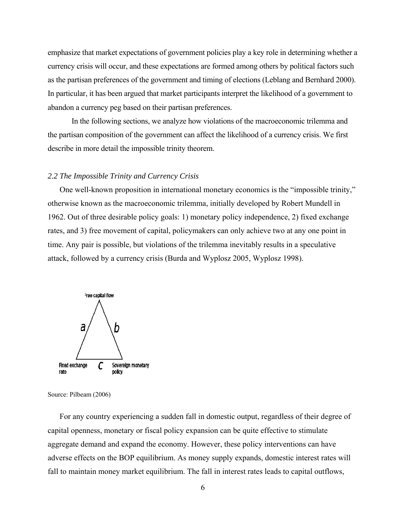emphasize that market expectations of government policies play a key role in determining whether a currency crisis will occur, and these expectations are formed among others by political factors such as the partisan preferences of the government and timing of elections (Leblang and Bernhard 2000). In particular, it has been argued that market participants interpret the likelihood of a government to abandon a currency peg based on their partisan preferences.

 In the following sections, we analyze how violations of the macroeconomic trilemma and the partisan composition of the government can affect the likelihood of a currency crisis. We first describe in more detail the impossible trinity theorem.

#### *2.2 The Impossible Trinity and Currency Crisis*

One well-known proposition in international monetary economics is the "impossible trinity," otherwise known as the macroeconomic trilemma, initially developed by Robert Mundell in 1962. Out of three desirable policy goals: 1) monetary policy independence, 2) fixed exchange rates, and 3) free movement of capital, policymakers can only achieve two at any one point in time. Any pair is possible, but violations of the trilemma inevitably results in a speculative attack, followed by a currency crisis (Burda and Wyplosz 2005, Wyplosz 1998).



Source: Pilbeam (2006)

For any country experiencing a sudden fall in domestic output, regardless of their degree of capital openness, monetary or fiscal policy expansion can be quite effective to stimulate aggregate demand and expand the economy. However, these policy interventions can have adverse effects on the BOP equilibrium. As money supply expands, domestic interest rates will fall to maintain money market equilibrium. The fall in interest rates leads to capital outflows,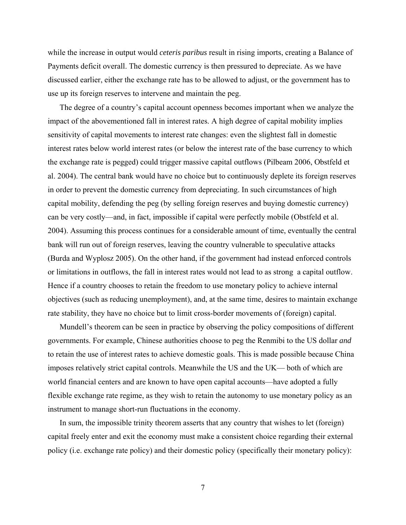while the increase in output would *ceteris paribus* result in rising imports, creating a Balance of Payments deficit overall. The domestic currency is then pressured to depreciate. As we have discussed earlier, either the exchange rate has to be allowed to adjust, or the government has to use up its foreign reserves to intervene and maintain the peg.

The degree of a country's capital account openness becomes important when we analyze the impact of the abovementioned fall in interest rates. A high degree of capital mobility implies sensitivity of capital movements to interest rate changes: even the slightest fall in domestic interest rates below world interest rates (or below the interest rate of the base currency to which the exchange rate is pegged) could trigger massive capital outflows (Pilbeam 2006, Obstfeld et al. 2004). The central bank would have no choice but to continuously deplete its foreign reserves in order to prevent the domestic currency from depreciating. In such circumstances of high capital mobility, defending the peg (by selling foreign reserves and buying domestic currency) can be very costly—and, in fact, impossible if capital were perfectly mobile (Obstfeld et al. 2004). Assuming this process continues for a considerable amount of time, eventually the central bank will run out of foreign reserves, leaving the country vulnerable to speculative attacks (Burda and Wyplosz 2005). On the other hand, if the government had instead enforced controls or limitations in outflows, the fall in interest rates would not lead to as strong a capital outflow. Hence if a country chooses to retain the freedom to use monetary policy to achieve internal objectives (such as reducing unemployment), and, at the same time, desires to maintain exchange rate stability, they have no choice but to limit cross-border movements of (foreign) capital.

Mundell's theorem can be seen in practice by observing the policy compositions of different governments. For example, Chinese authorities choose to peg the Renmibi to the US dollar *and* to retain the use of interest rates to achieve domestic goals. This is made possible because China imposes relatively strict capital controls. Meanwhile the US and the UK— both of which are world financial centers and are known to have open capital accounts—have adopted a fully flexible exchange rate regime, as they wish to retain the autonomy to use monetary policy as an instrument to manage short-run fluctuations in the economy.

In sum, the impossible trinity theorem asserts that any country that wishes to let (foreign) capital freely enter and exit the economy must make a consistent choice regarding their external policy (i.e. exchange rate policy) and their domestic policy (specifically their monetary policy):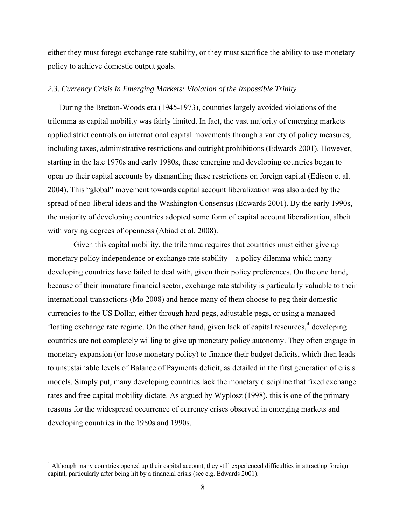<span id="page-7-0"></span>either they must forego exchange rate stability, or they must sacrifice the ability to use monetary policy to achieve domestic output goals.

#### *2.3. Currency Crisis in Emerging Markets: Violation of the Impossible Trinity*

During the Bretton-Woods era (1945-1973), countries largely avoided violations of the trilemma as capital mobility was fairly limited. In fact, the vast majority of emerging markets applied strict controls on international capital movements through a variety of policy measures, including taxes, administrative restrictions and outright prohibitions (Edwards 2001). However, starting in the late 1970s and early 1980s, these emerging and developing countries began to open up their capital accounts by dismantling these restrictions on foreign capital (Edison et al. 2004). This "global" movement towards capital account liberalization was also aided by the spread of neo-liberal ideas and the Washington Consensus (Edwards 2001). By the early 1990s, the majority of developing countries adopted some form of capital account liberalization, albeit with varying degrees of openness (Abiad et al. 2008).

 Given this capital mobility, the trilemma requires that countries must either give up monetary policy independence or exchange rate stability—a policy dilemma which many developing countries have failed to deal with, given their policy preferences. On the one hand, because of their immature financial sector, exchange rate stability is particularly valuable to their international transactions (Mo 2008) and hence many of them choose to peg their domestic currencies to the US Dollar, either through hard pegs, adjustable pegs, or using a managed floating exchange rate regime. On the other hand, given lack of capital resources,<sup>[4](#page-7-0)</sup> developing countries are not completely willing to give up monetary policy autonomy. They often engage in monetary expansion (or loose monetary policy) to finance their budget deficits, which then leads to unsustainable levels of Balance of Payments deficit, as detailed in the first generation of crisis models. Simply put, many developing countries lack the monetary discipline that fixed exchange rates and free capital mobility dictate. As argued by Wyplosz (1998), this is one of the primary reasons for the widespread occurrence of currency crises observed in emerging markets and developing countries in the 1980s and 1990s.

<sup>&</sup>lt;sup>4</sup> Although many countries opened up their capital account, they still experienced difficulties in attracting foreign capital, particularly after being hit by a financial crisis (see e.g. Edwards 2001).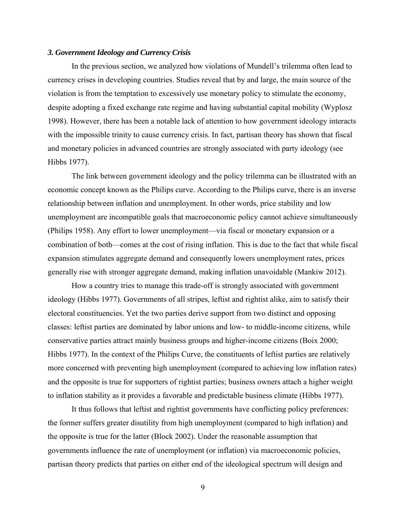#### *3. Government Ideology and Currency Crisis*

 In the previous section, we analyzed how violations of Mundell's trilemma often lead to currency crises in developing countries. Studies reveal that by and large, the main source of the violation is from the temptation to excessively use monetary policy to stimulate the economy, despite adopting a fixed exchange rate regime and having substantial capital mobility (Wyplosz 1998). However, there has been a notable lack of attention to how government ideology interacts with the impossible trinity to cause currency crisis. In fact, partisan theory has shown that fiscal and monetary policies in advanced countries are strongly associated with party ideology (see Hibbs 1977).

 The link between government ideology and the policy trilemma can be illustrated with an economic concept known as the Philips curve. According to the Philips curve, there is an inverse relationship between inflation and unemployment. In other words, price stability and low unemployment are incompatible goals that macroeconomic policy cannot achieve simultaneously (Philips 1958). Any effort to lower unemployment—via fiscal or monetary expansion or a combination of both—comes at the cost of rising inflation. This is due to the fact that while fiscal expansion stimulates aggregate demand and consequently lowers unemployment rates, prices generally rise with stronger aggregate demand, making inflation unavoidable (Mankiw 2012).

 How a country tries to manage this trade-off is strongly associated with government ideology (Hibbs 1977). Governments of all stripes, leftist and rightist alike, aim to satisfy their electoral constituencies. Yet the two parties derive support from two distinct and opposing classes: leftist parties are dominated by labor unions and low- to middle-income citizens, while conservative parties attract mainly business groups and higher-income citizens (Boix 2000; Hibbs 1977). In the context of the Philips Curve, the constituents of leftist parties are relatively more concerned with preventing high unemployment (compared to achieving low inflation rates) and the opposite is true for supporters of rightist parties; business owners attach a higher weight to inflation stability as it provides a favorable and predictable business climate (Hibbs 1977).

 It thus follows that leftist and rightist governments have conflicting policy preferences: the former suffers greater disutility from high unemployment (compared to high inflation) and the opposite is true for the latter (Block 2002). Under the reasonable assumption that governments influence the rate of unemployment (or inflation) via macroeconomic policies, partisan theory predicts that parties on either end of the ideological spectrum will design and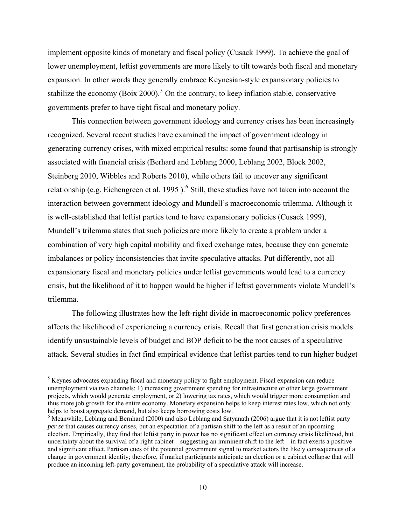<span id="page-9-0"></span>implement opposite kinds of monetary and fiscal policy (Cusack 1999). To achieve the goal of lower unemployment, leftist governments are more likely to tilt towards both fiscal and monetary expansion. In other words they generally embrace Keynesian-style expansionary policies to stabilize the economy (Boix 2000).<sup>[5](#page-9-0)</sup> On the contrary, to keep inflation stable, conservative governments prefer to have tight fiscal and monetary policy.

This connection between government ideology and currency crises has been increasingly recognized. Several recent studies have examined the impact of government ideology in generating currency crises, with mixed empirical results: some found that partisanship is strongly associated with financial crisis (Berhard and Leblang 2000, Leblang 2002, Block 2002, Steinberg 2010, Wibbles and Roberts 2010), while others fail to uncover any significant relationship (e.g. Eichengreen et al. 1995).<sup>[6](#page-9-0)</sup> Still, these studies have not taken into account the interaction between government ideology and Mundell's macroeconomic trilemma. Although it is well-established that leftist parties tend to have expansionary policies (Cusack 1999), Mundell's trilemma states that such policies are more likely to create a problem under a combination of very high capital mobility and fixed exchange rates, because they can generate imbalances or policy inconsistencies that invite speculative attacks. Put differently, not all expansionary fiscal and monetary policies under leftist governments would lead to a currency crisis, but the likelihood of it to happen would be higher if leftist governments violate Mundell's trilemma.

 The following illustrates how the left-right divide in macroeconomic policy preferences affects the likelihood of experiencing a currency crisis. Recall that first generation crisis models identify unsustainable levels of budget and BOP deficit to be the root causes of a speculative attack. Several studies in fact find empirical evidence that leftist parties tend to run higher budget

 $<sup>5</sup>$  Keynes advocates expanding fiscal and monetary policy to fight employment. Fiscal expansion can reduce</sup> unemployment via two channels: 1) increasing government spending for infrastructure or other large government projects, which would generate employment, or 2) lowering tax rates, which would trigger more consumption and thus more job growth for the entire economy. Monetary expansion helps to keep interest rates low, which not only helps to boost aggregate demand, but also keeps borrowing costs low.

<sup>&</sup>lt;sup>6</sup> Meanwhile, Leblang and Bernhard (2000) and also Leblang and Satyanath (2006) argue that it is not leftist party *per se* that causes currency crises, but an expectation of a partisan shift to the left as a result of an upcoming election. Empirically, they find that leftist party in power has no significant effect on currency crisis likelihood, but uncertainty about the survival of a right cabinet – suggesting an imminent shift to the left – in fact exerts a positive and significant effect. Partisan cues of the potential government signal to market actors the likely consequences of a change in government identity; therefore, if market participants anticipate an election or a cabinet collapse that will produce an incoming left-party government, the probability of a speculative attack will increase.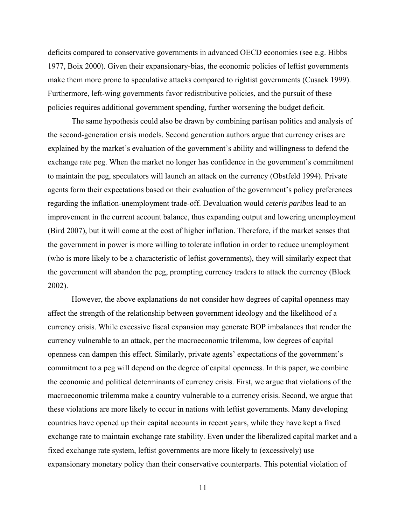deficits compared to conservative governments in advanced OECD economies (see e.g. Hibbs 1977, Boix 2000). Given their expansionary-bias, the economic policies of leftist governments make them more prone to speculative attacks compared to rightist governments (Cusack 1999). Furthermore, left-wing governments favor redistributive policies, and the pursuit of these policies requires additional government spending, further worsening the budget deficit.

 The same hypothesis could also be drawn by combining partisan politics and analysis of the second-generation crisis models. Second generation authors argue that currency crises are explained by the market's evaluation of the government's ability and willingness to defend the exchange rate peg. When the market no longer has confidence in the government's commitment to maintain the peg, speculators will launch an attack on the currency (Obstfeld 1994). Private agents form their expectations based on their evaluation of the government's policy preferences regarding the inflation-unemployment trade-off. Devaluation would *ceteris paribus* lead to an improvement in the current account balance, thus expanding output and lowering unemployment (Bird 2007), but it will come at the cost of higher inflation. Therefore, if the market senses that the government in power is more willing to tolerate inflation in order to reduce unemployment (who is more likely to be a characteristic of leftist governments), they will similarly expect that the government will abandon the peg, prompting currency traders to attack the currency (Block 2002).

 However, the above explanations do not consider how degrees of capital openness may affect the strength of the relationship between government ideology and the likelihood of a currency crisis. While excessive fiscal expansion may generate BOP imbalances that render the currency vulnerable to an attack, per the macroeconomic trilemma, low degrees of capital openness can dampen this effect. Similarly, private agents' expectations of the government's commitment to a peg will depend on the degree of capital openness. In this paper, we combine the economic and political determinants of currency crisis. First, we argue that violations of the macroeconomic trilemma make a country vulnerable to a currency crisis. Second, we argue that these violations are more likely to occur in nations with leftist governments. Many developing countries have opened up their capital accounts in recent years, while they have kept a fixed exchange rate to maintain exchange rate stability. Even under the liberalized capital market and a fixed exchange rate system, leftist governments are more likely to (excessively) use expansionary monetary policy than their conservative counterparts. This potential violation of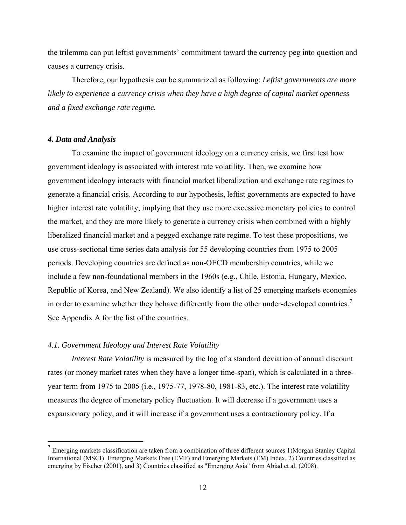<span id="page-11-0"></span>the trilemma can put leftist governments' commitment toward the currency peg into question and causes a currency crisis.

Therefore, our hypothesis can be summarized as following: *Leftist governments are more likely to experience a currency crisis when they have a high degree of capital market openness and a fixed exchange rate regime.*

#### *4. Data and Analysis*

<u>.</u>

 To examine the impact of government ideology on a currency crisis, we first test how government ideology is associated with interest rate volatility. Then, we examine how government ideology interacts with financial market liberalization and exchange rate regimes to generate a financial crisis. According to our hypothesis, leftist governments are expected to have higher interest rate volatility, implying that they use more excessive monetary policies to control the market, and they are more likely to generate a currency crisis when combined with a highly liberalized financial market and a pegged exchange rate regime. To test these propositions, we use cross-sectional time series data analysis for 55 developing countries from 1975 to 2005 periods. Developing countries are defined as non-OECD membership countries, while we include a few non-foundational members in the 1960s (e.g., Chile, Estonia, Hungary, Mexico, Republic of Korea, and New Zealand). We also identify a list of 25 emerging markets economies in order to examine whether they behave differently from the other under-developed countries.<sup>[7](#page-11-0)</sup> See Appendix A for the list of the countries.

#### *4.1. Government Ideology and Interest Rate Volatility*

*Interest Rate Volatility* is measured by the log of a standard deviation of annual discount rates (or money market rates when they have a longer time-span), which is calculated in a threeyear term from 1975 to 2005 (i.e., 1975-77, 1978-80, 1981-83, etc.). The interest rate volatility measures the degree of monetary policy fluctuation. It will decrease if a government uses a expansionary policy, and it will increase if a government uses a contractionary policy. If a

 $<sup>7</sup>$  Emerging markets classification are taken from a combination of three different sources 1)Morgan Stanley Capital</sup> International (MSCI) Emerging Markets Free (EMF) and Emerging Markets (EM) Index, 2) Countries classified as emerging by Fischer (2001), and 3) Countries classified as "Emerging Asia" from Abiad et al. (2008).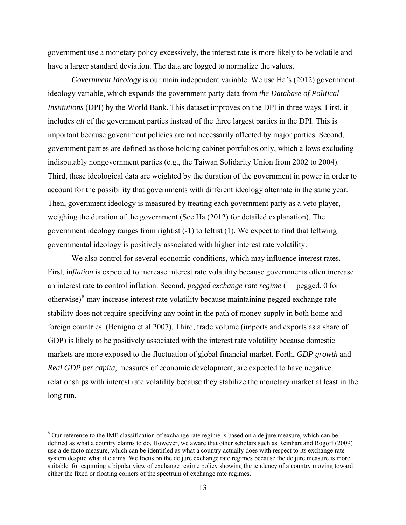<span id="page-12-0"></span>government use a monetary policy excessively, the interest rate is more likely to be volatile and have a larger standard deviation. The data are logged to normalize the values.

*Government Ideology* is our main independent variable. We use Ha's (2012) government ideology variable, which expands the government party data from *the Database of Political Institutions* (DPI) by the World Bank. This dataset improves on the DPI in three ways. First, it includes *all* of the government parties instead of the three largest parties in the DPI. This is important because government policies are not necessarily affected by major parties. Second, government parties are defined as those holding cabinet portfolios only, which allows excluding indisputably nongovernment parties (e.g., the Taiwan Solidarity Union from 2002 to 2004). Third, these ideological data are weighted by the duration of the government in power in order to account for the possibility that governments with different ideology alternate in the same year. Then, government ideology is measured by treating each government party as a veto player, weighing the duration of the government (See Ha (2012) for detailed explanation). The government ideology ranges from rightist (-1) to leftist (1). We expect to find that leftwing governmental ideology is positively associated with higher interest rate volatility.

 We also control for several economic conditions, which may influence interest rates. First, *inflation* is expected to increase interest rate volatility because governments often increase an interest rate to control inflation. Second, *pegged exchange rate regime* (1= pegged, 0 for otherwise) $\delta$  may increase interest rate volatility because maintaining pegged exchange rate stability does not require specifying any point in the path of money supply in both home and foreign countries (Benigno et al.2007). Third, trade volume (imports and exports as a share of GDP) is likely to be positively associated with the interest rate volatility because domestic markets are more exposed to the fluctuation of global financial market. Forth, *GDP growth* and *Real GDP per capita*, measures of economic development, are expected to have negative relationships with interest rate volatility because they stabilize the monetary market at least in the long run.

<sup>&</sup>lt;sup>8</sup> Our reference to the IMF classification of exchange rate regime is based on a de jure measure, which can be defined as what a country claims to do. However, we aware that other scholars such as Reinhart and Rogoff (2009) use a de facto measure, which can be identified as what a country actually does with respect to its exchange rate system despite what it claims. We focus on the de jure exchange rate regimes because the de jure measure is more suitable for capturing a bipolar view of exchange regime policy showing the tendency of a country moving toward either the fixed or floating corners of the spectrum of exchange rate regimes.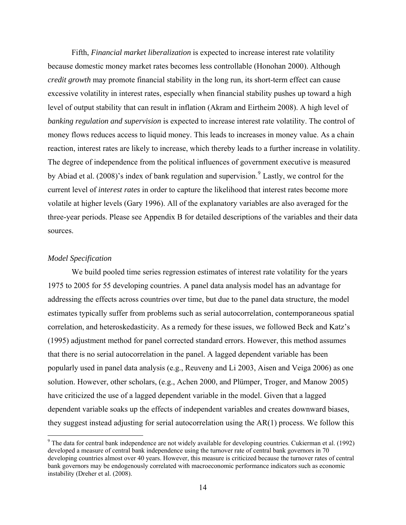<span id="page-13-0"></span>Fifth, *Financial market liberalization* is expected to increase interest rate volatility because domestic money market rates becomes less controllable (Honohan 2000). Although *credit growth* may promote financial stability in the long run, its short-term effect can cause excessive volatility in interest rates, especially when financial stability pushes up toward a high level of output stability that can result in inflation (Akram and Eirtheim 2008). A high level of *banking regulation and supervision* is expected to increase interest rate volatility. The control of money flows reduces access to liquid money. This leads to increases in money value. As a chain reaction, interest rates are likely to increase, which thereby leads to a further increase in volatility. The degree of independence from the political influences of government executive is measured by Abiad et al. (2008)'s index of bank regulation and supervision.<sup>[9](#page-13-0)</sup> Lastly, we control for the current level of *interest rates* in order to capture the likelihood that interest rates become more volatile at higher levels (Gary 1996). All of the explanatory variables are also averaged for the three-year periods. Please see Appendix B for detailed descriptions of the variables and their data sources.

#### *Model Specification*

 $\overline{a}$ 

We build pooled time series regression estimates of interest rate volatility for the years 1975 to 2005 for 55 developing countries. A panel data analysis model has an advantage for addressing the effects across countries over time, but due to the panel data structure, the model estimates typically suffer from problems such as serial autocorrelation, contemporaneous spatial correlation, and heteroskedasticity. As a remedy for these issues, we followed Beck and Katz's (1995) adjustment method for panel corrected standard errors. However, this method assumes that there is no serial autocorrelation in the panel. A lagged dependent variable has been popularly used in panel data analysis (e.g., Reuveny and Li 2003, Aisen and Veiga 2006) as one solution. However, other scholars, (e.g., Achen 2000, and Plümper, Troger, and Manow 2005) have criticized the use of a lagged dependent variable in the model. Given that a lagged dependent variable soaks up the effects of independent variables and creates downward biases, they suggest instead adjusting for serial autocorrelation using the AR(1) process. We follow this

 $9$  The data for central bank independence are not widely available for developing countries. Cukierman et al. (1992) developed a measure of central bank independence using the turnover rate of central bank governors in 70 developing countries almost over 40 years. However, this measure is criticized because the turnover rates of central bank governors may be endogenously correlated with macroeconomic performance indicators such as economic instability (Dreher et al. (2008).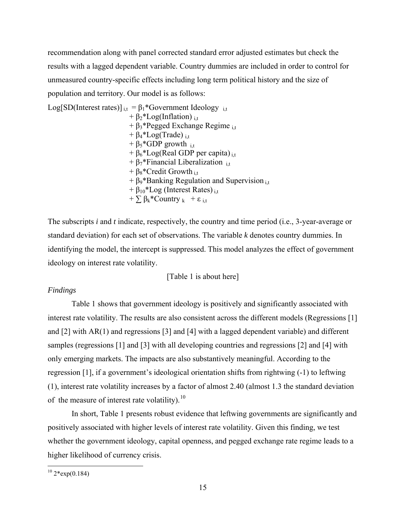<span id="page-14-0"></span>recommendation along with panel corrected standard error adjusted estimates but check the results with a lagged dependent variable. Country dummies are included in order to control for unmeasured country-specific effects including long term political history and the size of population and territory. Our model is as follows:

Log[SD(Interest rates)]  $_{i,t} = \beta_1 *$  Government Ideology  $_{i,t}$ +  $\beta_2^*$ Log(Inflation) <sub>i,t</sub>  $+ \beta_3*$ Pegged Exchange Regime <sub>i.t</sub>  $+ \beta_4 * Log(Trade)_{it}$ +  $\beta_5$ \*GDP growth <sub>i,t</sub> +  $\beta_6$ \*Log(Real GDP per capita) it  $+ \beta_7$ \*Financial Liberalization <sub>it</sub> +  $\beta_8$ \*Credit Growth i,t  $+ \beta_9*$ Banking Regulation and Supervision  $_{i,t}$  $+ \beta_{10}$ \*Log (Interest Rates) <sub>i,t</sub>  $+ \sum \beta_k$ \*Country  $k + \varepsilon$  i.t

The subscripts *i* and *t* indicate, respectively, the country and time period (i.e., 3-year-average or standard deviation) for each set of observations. The variable *k* denotes country dummies. In identifying the model, the intercept is suppressed. This model analyzes the effect of government ideology on interest rate volatility.

[Table 1 is about here]

#### *Findings*

 Table 1 shows that government ideology is positively and significantly associated with interest rate volatility. The results are also consistent across the different models (Regressions [1] and [2] with AR(1) and regressions [3] and [4] with a lagged dependent variable) and different samples (regressions [1] and [3] with all developing countries and regressions [2] and [4] with only emerging markets. The impacts are also substantively meaningful. According to the regression [1], if a government's ideological orientation shifts from rightwing (-1) to leftwing (1), interest rate volatility increases by a factor of almost 2.40 (almost 1.3 the standard deviation of the measure of interest rate volatility).<sup>[10](#page-14-0)</sup>

 In short, Table 1 presents robust evidence that leftwing governments are significantly and positively associated with higher levels of interest rate volatility. Given this finding, we test whether the government ideology, capital openness, and pegged exchange rate regime leads to a higher likelihood of currency crisis.

 $10^{10}$  2\*exp(0.184)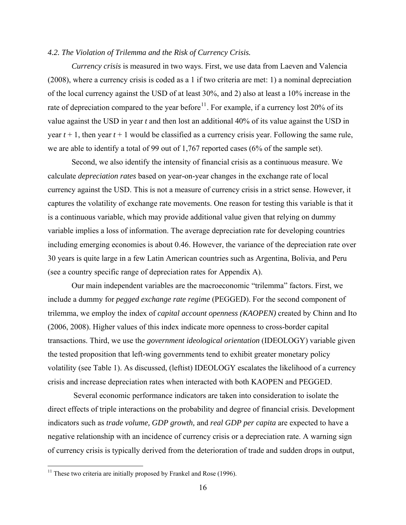#### <span id="page-15-0"></span>*4.2. The Violation of Trilemma and the Risk of Currency Crisis.*

*Currency crisis* is measured in two ways. First, we use data from Laeven and Valencia (2008), where a currency crisis is coded as a 1 if two criteria are met: 1) a nominal depreciation of the local currency against the USD of at least 30%, and 2) also at least a 10% increase in the rate of depreciation compared to the year before<sup>[11](#page-15-0)</sup>. For example, if a currency lost 20% of its value against the USD in year *t* and then lost an additional 40% of its value against the USD in year  $t + 1$ , then year  $t + 1$  would be classified as a currency crisis year. Following the same rule, we are able to identify a total of 99 out of 1,767 reported cases (6% of the sample set).

 Second, we also identify the intensity of financial crisis as a continuous measure. We calculate *depreciation rates* based on year-on-year changes in the exchange rate of local currency against the USD. This is not a measure of currency crisis in a strict sense. However, it captures the volatility of exchange rate movements. One reason for testing this variable is that it is a continuous variable, which may provide additional value given that relying on dummy variable implies a loss of information. The average depreciation rate for developing countries including emerging economies is about 0.46. However, the variance of the depreciation rate over 30 years is quite large in a few Latin American countries such as Argentina, Bolivia, and Peru (see a country specific range of depreciation rates for Appendix A).

 Our main independent variables are the macroeconomic "trilemma" factors. First, we include a dummy for *pegged exchange rate regime* (PEGGED). For the second component of trilemma, we employ the index of *capital account openness (KAOPEN)* created by Chinn and Ito (2006, 2008). Higher values of this index indicate more openness to cross-border capital transactions. Third, we use the *government ideological orientation* (IDEOLOGY) variable given the tested proposition that left-wing governments tend to exhibit greater monetary policy volatility (see Table 1). As discussed, (leftist) IDEOLOGY escalates the likelihood of a currency crisis and increase depreciation rates when interacted with both KAOPEN and PEGGED.

 Several economic performance indicators are taken into consideration to isolate the direct effects of triple interactions on the probability and degree of financial crisis. Development indicators such as *trade volume, GDP growth,* and *real GDP per capita* are expected to have a negative relationship with an incidence of currency crisis or a depreciation rate. A warning sign of currency crisis is typically derived from the deterioration of trade and sudden drops in output,

<sup>&</sup>lt;sup>11</sup> These two criteria are initially proposed by Frankel and Rose (1996).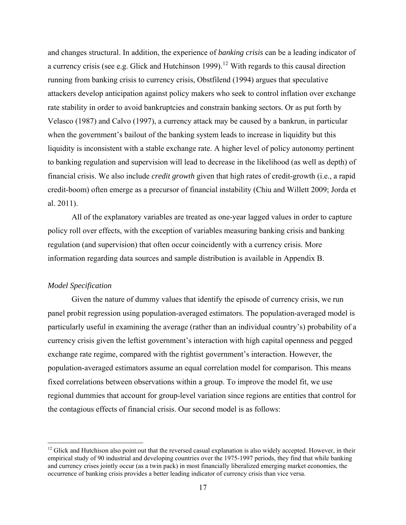<span id="page-16-0"></span>and changes structural. In addition, the experience of *banking crisis* can be a leading indicator of a currency crisis (see e.g. Glick and Hutchinson 1999).<sup>[12](#page-16-0)</sup> With regards to this causal direction running from banking crisis to currency crisis, Obstfilend (1994) argues that speculative attackers develop anticipation against policy makers who seek to control inflation over exchange rate stability in order to avoid bankruptcies and constrain banking sectors. Or as put forth by Velasco (1987) and Calvo (1997), a currency attack may be caused by a bankrun, in particular when the government's bailout of the banking system leads to increase in liquidity but this liquidity is inconsistent with a stable exchange rate. A higher level of policy autonomy pertinent to banking regulation and supervision will lead to decrease in the likelihood (as well as depth) of financial crisis. We also include *credit growth* given that high rates of credit-growth (i.e., a rapid credit-boom) often emerge as a precursor of financial instability (Chiu and Willett 2009; Jorda et al. 2011).

 All of the explanatory variables are treated as one-year lagged values in order to capture policy roll over effects, with the exception of variables measuring banking crisis and banking regulation (and supervision) that often occur coincidently with a currency crisis. More information regarding data sources and sample distribution is available in Appendix B.

#### *Model Specification*

 $\overline{a}$ 

Given the nature of dummy values that identify the episode of currency crisis, we run panel probit regression using population-averaged estimators. The population-averaged model is particularly useful in examining the average (rather than an individual country's) probability of a currency crisis given the leftist government's interaction with high capital openness and pegged exchange rate regime, compared with the rightist government's interaction. However, the population-averaged estimators assume an equal correlation model for comparison. This means fixed correlations between observations within a group. To improve the model fit, we use regional dummies that account for group-level variation since regions are entities that control for the contagious effects of financial crisis. Our second model is as follows:

 $12$  Glick and Hutchison also point out that the reversed casual explanation is also widely accepted. However, in their empirical study of 90 industrial and developing countries over the 1975-1997 periods, they find that while banking and currency crises jointly occur (as a twin pack) in most financially liberalized emerging market economies, the occurrence of banking crisis provides a better leading indicator of currency crisis than vice versa.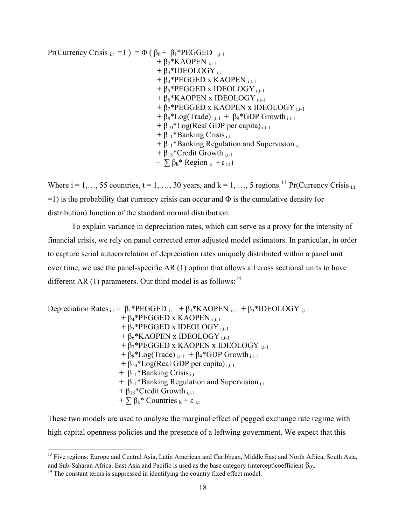<span id="page-17-0"></span>Pr(Currency Crisis  $_{i,t}$  =1 ) =  $\Phi$  ( $\beta_0$  +  $\beta_1$ <sup>\*</sup>PEGGED  $_{i,t-1}$  $+ \beta_2*KAOPEN$ <sub>i.t-1</sub>  $+ \beta_3*IDEOLOGY$ <sub>i.t-1</sub>  $+ \beta_4*$ PEGGED x KAOPEN <sub>i.t-1</sub>  $+ \beta_5*$ PEGGED x IDEOLOGY i.t-1  $+ \beta_6*$ KAOPEN x IDEOLOGY <sub>i,t-1</sub>  $+ \beta_7*$ PEGGED x KAOPEN x IDEOLOGY <sub>i.t-1</sub>  $+ \beta_8 * Log(Trade)_{i,t-1} + \beta_9 * GDP Growth_{i,t-1}$  $+ \beta_{10} * Log(Real GDP per capita)_{i,t-1}$  $+ \beta_{11}$ \*Banking Crisis <sub>i,t</sub>  $+ \beta_{11}$ \*Banking Regulation and Supervision <sub>i,t</sub>  $+ \beta_{13}$ \*Credit Growth <sub>i.t-1</sub>  $+ \sum \beta_k^*$  Region  $k + \varepsilon_{i,t}$ )

Where  $i = 1, \ldots, 55$  countries,  $t = 1, \ldots, 30$  years, and  $k = 1, \ldots, 5$  regions.<sup>[13](#page-17-0)</sup> Pr(Currency Crisis <sub>i.t</sub>  $=1$ ) is the probability that currency crisis can occur and  $\Phi$  is the cumulative density (or distribution) function of the standard normal distribution.

To explain variance in depreciation rates, which can serve as a proxy for the intensity of financial crisis, we rely on panel corrected error adjusted model estimators. In particular, in order to capture serial autocorrelation of depreciation rates uniquely distributed within a panel unit over time, we use the panel-specific AR (1) option that allows all cross sectional units to have different AR (1) parameters. Our third model is as follows:  $14$ 

Depreciation Rates  $_{i,t} = \beta_1 * PEGGED_{i,t-1} + \beta_2 * KAOPEN_{i,t-1} + \beta_3 * IDEOLOGY_{i,t-1}$  $+ \beta_4*$ PEGGED x KAOPEN i,t-1  $+ \beta_5*$ PEGGED x IDEOLOGY <sub>i.t-1</sub>  $+ \beta_6*$ KAOPEN x IDEOLOGY i,t-1  $+ \beta_7*$ PEGGED x KAOPEN x IDEOLOGY <sub>i.t-1</sub>  $+ \beta_8 * Log(Trade)_{i,t-1} + \beta_9 * GDP Growth_{i,t-1}$  $+ \beta_{10} * Log(Real GDP per capita)_{i,t-1}$  $+ \beta_{11}$ \*Banking Crisis <sub>i.t</sub>  $+ \beta_{11}$ \*Banking Regulation and Supervision <sub>i,t</sub>  $+ \beta_{13}$ \*Credit Growth i<sub>t-1</sub>  $+ \sum \beta_k^*$  Countries  $k + \varepsilon$  it

These two models are used to analyze the marginal effect of pegged exchange rate regime with high capital openness policies and the presence of a leftwing government. We expect that this

<sup>&</sup>lt;sup>13</sup> Five regions: Europe and Central Asia, Latin American and Caribbean, Middle East and North Africa, South Asia, and Sub-Saharan Africa. East Asia and Pacific is used as the base category (intercept\coefficient  $β_0$ ). <sup>14</sup> The constant terms is suppressed in identifying the country fixed effect model.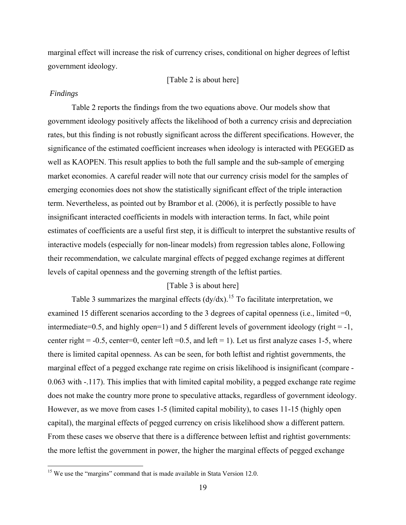<span id="page-18-0"></span>marginal effect will increase the risk of currency crises, conditional on higher degrees of leftist government ideology.

#### [Table 2 is about here]

#### *Findings*

 $\overline{a}$ 

 Table 2 reports the findings from the two equations above. Our models show that government ideology positively affects the likelihood of both a currency crisis and depreciation rates, but this finding is not robustly significant across the different specifications. However, the significance of the estimated coefficient increases when ideology is interacted with PEGGED as well as KAOPEN. This result applies to both the full sample and the sub-sample of emerging market economies. A careful reader will note that our currency crisis model for the samples of emerging economies does not show the statistically significant effect of the triple interaction term. Nevertheless, as pointed out by Brambor et al. (2006), it is perfectly possible to have insignificant interacted coefficients in models with interaction terms. In fact, while point estimates of coefficients are a useful first step, it is difficult to interpret the substantive results of interactive models (especially for non-linear models) from regression tables alone, Following their recommendation, we calculate marginal effects of pegged exchange regimes at different levels of capital openness and the governing strength of the leftist parties.

## [Table 3 is about here]

Table 3 summarizes the marginal effects  $\left(\frac{dv}{dx}\right)^{15}$  $\left(\frac{dv}{dx}\right)^{15}$  $\left(\frac{dv}{dx}\right)^{15}$  To facilitate interpretation, we examined 15 different scenarios according to the 3 degrees of capital openness (i.e., limited =0, intermediate=0.5, and highly open=1) and 5 different levels of government ideology (right =  $-1$ , center right =  $-0.5$ , center=0, center left = 0.5, and left = 1). Let us first analyze cases 1-5, where there is limited capital openness. As can be seen, for both leftist and rightist governments, the marginal effect of a pegged exchange rate regime on crisis likelihood is insignificant (compare - 0.063 with -.117). This implies that with limited capital mobility, a pegged exchange rate regime does not make the country more prone to speculative attacks, regardless of government ideology. However, as we move from cases 1-5 (limited capital mobility), to cases 11-15 (highly open capital), the marginal effects of pegged currency on crisis likelihood show a different pattern. From these cases we observe that there is a difference between leftist and rightist governments: the more leftist the government in power, the higher the marginal effects of pegged exchange

<sup>&</sup>lt;sup>15</sup> We use the "margins" command that is made available in Stata Version 12.0.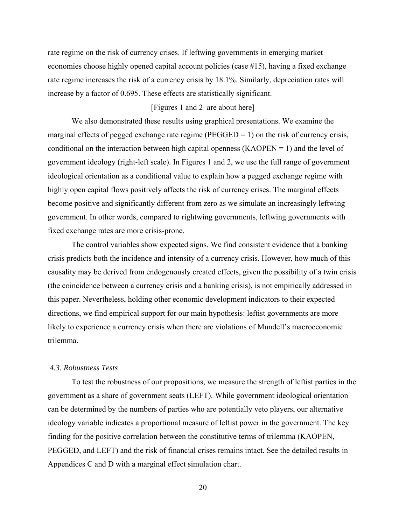rate regime on the risk of currency crises. If leftwing governments in emerging market economies choose highly opened capital account policies (case #15), having a fixed exchange rate regime increases the risk of a currency crisis by 18.1%. Similarly, depreciation rates will increase by a factor of 0.695. These effects are statistically significant.

# [Figures 1 and 2 are about here]

 We also demonstrated these results using graphical presentations. We examine the marginal effects of pegged exchange rate regime ( $\text{PEGGED} = 1$ ) on the risk of currency crisis, conditional on the interaction between high capital openness  $(KAOPEN = 1)$  and the level of government ideology (right-left scale). In Figures 1 and 2, we use the full range of government ideological orientation as a conditional value to explain how a pegged exchange regime with highly open capital flows positively affects the risk of currency crises. The marginal effects become positive and significantly different from zero as we simulate an increasingly leftwing government. In other words, compared to rightwing governments, leftwing governments with fixed exchange rates are more crisis-prone.

 The control variables show expected signs. We find consistent evidence that a banking crisis predicts both the incidence and intensity of a currency crisis. However, how much of this causality may be derived from endogenously created effects, given the possibility of a twin crisis (the coincidence between a currency crisis and a banking crisis), is not empirically addressed in this paper. Nevertheless, holding other economic development indicators to their expected directions, we find empirical support for our main hypothesis: leftist governments are more likely to experience a currency crisis when there are violations of Mundell's macroeconomic trilemma.

# *4.3. Robustness Tests*

 To test the robustness of our propositions, we measure the strength of leftist parties in the government as a share of government seats (LEFT). While government ideological orientation can be determined by the numbers of parties who are potentially veto players, our alternative ideology variable indicates a proportional measure of leftist power in the government. The key finding for the positive correlation between the constitutive terms of trilemma (KAOPEN, PEGGED, and LEFT) and the risk of financial crises remains intact. See the detailed results in Appendices C and D with a marginal effect simulation chart.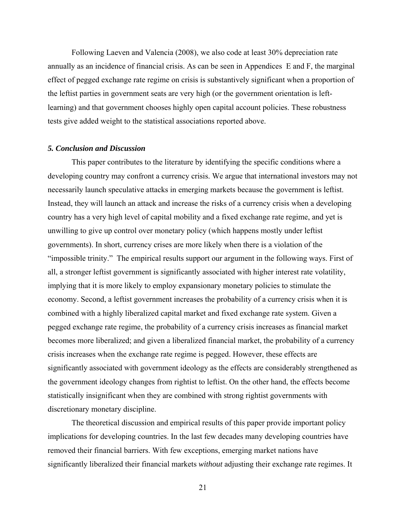Following Laeven and Valencia (2008), we also code at least 30% depreciation rate annually as an incidence of financial crisis. As can be seen in Appendices E and F, the marginal effect of pegged exchange rate regime on crisis is substantively significant when a proportion of the leftist parties in government seats are very high (or the government orientation is leftlearning) and that government chooses highly open capital account policies. These robustness tests give added weight to the statistical associations reported above.

#### *5. Conclusion and Discussion*

This paper contributes to the literature by identifying the specific conditions where a developing country may confront a currency crisis. We argue that international investors may not necessarily launch speculative attacks in emerging markets because the government is leftist. Instead, they will launch an attack and increase the risks of a currency crisis when a developing country has a very high level of capital mobility and a fixed exchange rate regime, and yet is unwilling to give up control over monetary policy (which happens mostly under leftist governments). In short, currency crises are more likely when there is a violation of the "impossible trinity." The empirical results support our argument in the following ways. First of all, a stronger leftist government is significantly associated with higher interest rate volatility, implying that it is more likely to employ expansionary monetary policies to stimulate the economy. Second, a leftist government increases the probability of a currency crisis when it is combined with a highly liberalized capital market and fixed exchange rate system. Given a pegged exchange rate regime, the probability of a currency crisis increases as financial market becomes more liberalized; and given a liberalized financial market, the probability of a currency crisis increases when the exchange rate regime is pegged. However, these effects are significantly associated with government ideology as the effects are considerably strengthened as the government ideology changes from rightist to leftist. On the other hand, the effects become statistically insignificant when they are combined with strong rightist governments with discretionary monetary discipline.

The theoretical discussion and empirical results of this paper provide important policy implications for developing countries. In the last few decades many developing countries have removed their financial barriers. With few exceptions, emerging market nations have significantly liberalized their financial markets *without* adjusting their exchange rate regimes. It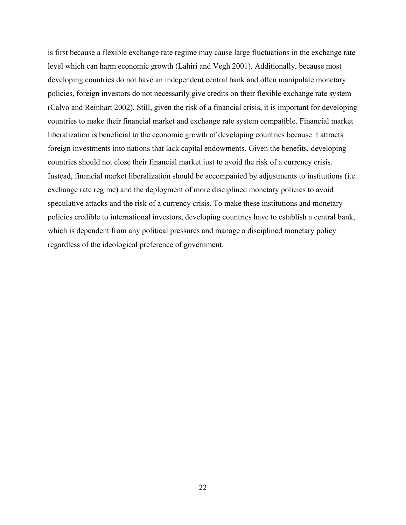is first because a flexible exchange rate regime may cause large fluctuations in the exchange rate level which can harm economic growth (Lahiri and Vegh 2001). Additionally, because most developing countries do not have an independent central bank and often manipulate monetary policies, foreign investors do not necessarily give credits on their flexible exchange rate system (Calvo and Reinhart 2002). Still, given the risk of a financial crisis, it is important for developing countries to make their financial market and exchange rate system compatible. Financial market liberalization is beneficial to the economic growth of developing countries because it attracts foreign investments into nations that lack capital endowments. Given the benefits, developing countries should not close their financial market just to avoid the risk of a currency crisis. Instead, financial market liberalization should be accompanied by adjustments to institutions (i.e. exchange rate regime) and the deployment of more disciplined monetary policies to avoid speculative attacks and the risk of a currency crisis. To make these institutions and monetary policies credible to international investors, developing countries have to establish a central bank, which is dependent from any political pressures and manage a disciplined monetary policy regardless of the ideological preference of government.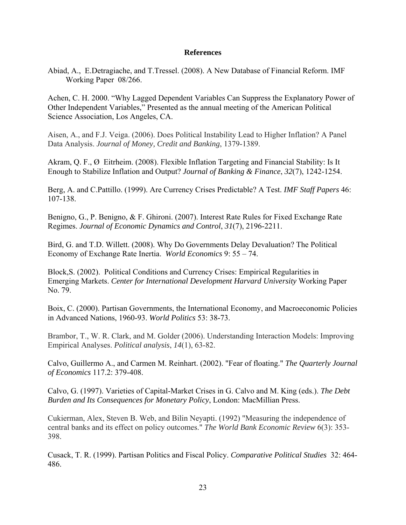## **References**

Abiad, A., E.Detragiache, and T.Tressel. (2008). A New Database of Financial Reform. IMF Working Paper 08/266.

Achen, C. H. 2000. "Why Lagged Dependent Variables Can Suppress the Explanatory Power of Other Independent Variables," Presented as the annual meeting of the American Political Science Association, Los Angeles, CA.

Aisen, A., and F.J. Veiga. (2006). Does Political Instability Lead to Higher Inflation? A Panel Data Analysis. *Journal of Money, Credit and Banking*, 1379-1389.

Akram, Q. F., Ø Eitrheim. (2008). Flexible Inflation Targeting and Financial Stability: Is It Enough to Stabilize Inflation and Output? *Journal of Banking & Finance*, *32*(7), 1242-1254.

Berg, A. and C.Pattillo. (1999). Are Currency Crises Predictable? A Test. *IMF Staff Papers* 46: 107-138.

Benigno, G., P. Benigno, & F. Ghironi. (2007). Interest Rate Rules for Fixed Exchange Rate Regimes. *Journal of Economic Dynamics and Control*, *31*(7), 2196-2211.

Bird, G. and T.D. Willett. (2008). Why Do Governments Delay Devaluation? The Political Economy of Exchange Rate Inertia. *World Economics* 9: 55 – 74.

Block,S. (2002). Political Conditions and Currency Crises: Empirical Regularities in Emerging Markets. *Center for International Development Harvard University* Working Paper No. 79.

Boix, C. (2000). Partisan Governments, the International Economy, and Macroeconomic Policies in Advanced Nations, 1960-93. *World Politics* 53: 38-73.

Brambor, T., W. R. Clark, and M. Golder (2006). Understanding Interaction Models: Improving Empirical Analyses. *Political analysis*, *14*(1), 63-82.

Calvo, Guillermo A., and Carmen M. Reinhart. (2002). "Fear of floating." *The Quarterly Journal of Economics* 117.2: 379-408.

Calvo, G. (1997). Varieties of Capital-Market Crises in G. Calvo and M. King (eds.). *The Debt Burden and Its Consequences for Monetary Policy*, London: MacMillian Press.

Cukierman, Alex, Steven B. Web, and Bilin Neyapti. (1992) "Measuring the independence of central banks and its effect on policy outcomes." *The World Bank Economic Review* 6(3): 353- 398.

Cusack, T. R. (1999). Partisan Politics and Fiscal Policy. *Comparative Political Studies* 32: 464- 486.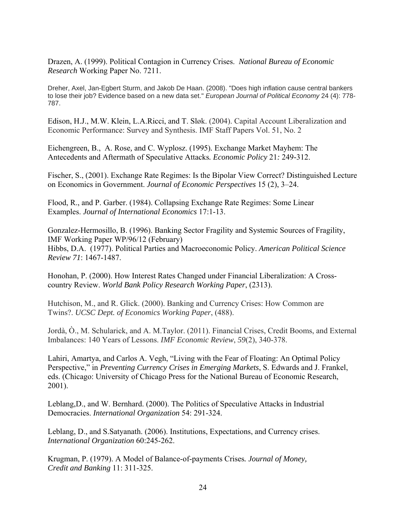Drazen, A. (1999). Political Contagion in Currency Crises. *National Bureau of Economic Research* Working Paper No. 7211.

Dreher, Axel, Jan-Egbert Sturm, and Jakob De Haan. (2008). "Does high inflation cause central bankers to lose their job? Evidence based on a new data set." *European Journal of Political Economy* 24 (4): 778- 787.

E dison, H.J., M.W. Klein, L.A.Ricci, and T. Sløk. (2004). Capital Account Liberalization and E conomic Performance: Survey and Synthesis. IMF Staff Papers Vol. 51, No. 2

Eichengreen, B., A. Rose*,* and C. Wyplosz. (1995)*.* Exchange Market Mayhem: The Antecedents and Aftermath of Speculative Attacks*. Economic Policy* 21*:* 249*-*312.

Fischer, S., (2001). Exchange Rate Regimes: Is the Bipolar View Correct? Distinguished Lecture on Economics in Government. *Journal of Economic Perspectives* 15 (2), 3–24.

Flood, R., and P. Garber. (1984). Collapsing Exchange Rate Regimes: Some Linear Examples. *Journal of International Economics* 17:1-13.

Gonzalez-Hermosillo, B. (1996). Banking Sector Fragility and Systemic Sources of Fragility, IMF Working Paper WP/96/12 (February) Hibbs, D.A. (1977). Political Parties and Macroeconomic Policy. *American Political Science Review 71*: 1467-1487.

Honohan, P. (2000). How Interest Rates Changed under Financial Liberalization: A Crosscountry Review. *World Bank Policy Research Working Paper*, (2313).

Hutchison, M., and R. Glick. (2000). Banking and Currency Crises: How Common are Twins?. *UCSC Dept. of Economics Working Paper*, (488).

Jordà, Ò., M. Schularick, and A. M.Taylor. (2011). Financial Crises, Credit Booms, and External Imbalances: 140 Years of Lessons. *IMF Economic Review*, *59*(2), 340-378.

Lahiri, Amartya, and Carlos A. Vegh, "Living with the Fear of Floating: An Optimal Policy Perspective," in *Preventing Currency Crises in Emerging Markets*, S. Edwards and J. Frankel, eds. (Chicago: University of Chicago Press for the National Bureau of Economic Research, 2001).

Leblang,D., and W. Bernhard. (2000). The Politics of Speculative Attacks in Industrial Democracies. *International Organization* 54: 291-324.

Leblang, D., and S.Satyanath. (2006). Institutions, Expectations, and Currency crises. *International Organization* 60:245-262.

Krugman, P. (1979). A Model of Balance-of-payments Crises*. Journal of Money, Credit and Banking* 11: 311-325.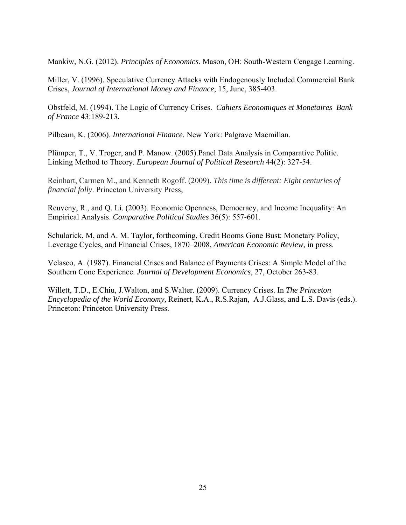Mankiw, N.G. (2012). *Principles of Economics.* Mason, OH: South-Western Cengage Learning.

Miller, V. (1996). Speculative Currency Attacks with Endogenously Included Commercial Bank Crises, *Journal of International Money and Finance*, 15, June, 385-403.

Obstfeld, M. (1994). The Logic of Currency Crises. *Cahiers Economiques et Monetaires Bank of France* 43:189-213.

Pilbeam, K. (2006). *International Finance.* New York: Palgrave Macmillan.

Plümper, T., V. Troger, and P. Manow. (2005).Panel Data Analysis in Comparative Politic. Linking Method to Theory. *European Journal of Political Research* 44(2): 327-54.

Reinhart, Carmen M., and Kenneth Rogoff. (2009). *This time is different: Eight centuries of financial folly*. Princeton University Press,

Reuveny, R., and Q. Li. (2003). Economic Openness, Democracy, and Income Inequality: An Empirical Analysis. *Comparative Political Studies* 36(5): 557-601.

Schularick, M, and A. M. Taylor, forthcoming, Credit Booms Gone Bust: Monetary Policy, Leverage Cycles, and Financial Crises, 1870–2008, *American Economic Review*, in press.

Velasco, A. (1987). Financial Crises and Balance of Payments Crises: A Simple Model of the Southern Cone Experience. *Journal of Development Economics*, 27, October 263-83.

Willett, T.D., E.Chiu, J.Walton, and S.Walter. (2009). Currency Crises. In *The Princeton Encyclopedia of the World Economy,* Reinert, K.A., R.S.Rajan, A.J.Glass, and L.S. Davis (eds.). Princeton: Princeton University Press.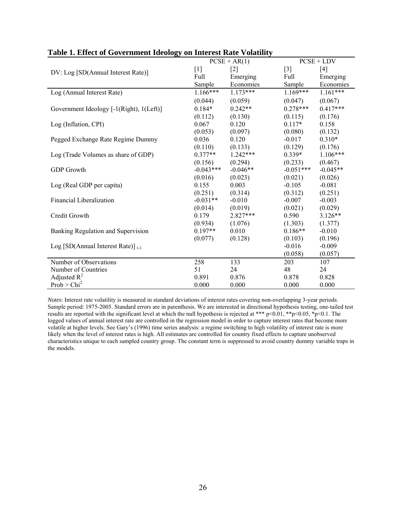|                                          |             | $PCSE + AR(1)$ | $PCSE + LDV$      |            |  |
|------------------------------------------|-------------|----------------|-------------------|------------|--|
| DV: Log [SD(Annual Interest Rate)]       | $[1]$       | $[2]$          | $\lceil 3 \rceil$ | [4]        |  |
|                                          | Full        | Emerging       | Full              | Emerging   |  |
|                                          | Sample      | Economies      | Sample            | Economies  |  |
| Log (Annual Interest Rate)               | $1.166***$  | $1.173***$     | $1.169***$        | $1.161***$ |  |
|                                          | (0.044)     | (0.059)        | (0.047)           | (0.067)    |  |
| Government Ideology [-1(Right), 1(Left)] | $0.184*$    | $0.242**$      | $0.278***$        | $0.417***$ |  |
|                                          | (0.112)     | (0.130)        | (0.115)           | (0.176)    |  |
| Log (Inflation, CPI)                     | 0.067       | 0.120          | $0.117*$          | 0.158      |  |
|                                          | (0.053)     | (0.097)        | (0.080)           | (0.132)    |  |
| Pegged Exchange Rate Regime Dummy        | 0.036       | 0.120          | $-0.017$          | $0.310*$   |  |
|                                          | (0.110)     | (0.133)        | (0.129)           | (0.176)    |  |
| Log (Trade Volumes as share of GDP)      | $0.377**$   | $1.242***$     | $0.339*$          | $1.106***$ |  |
|                                          | (0.156)     | (0.294)        | (0.233)           | (0.467)    |  |
| <b>GDP</b> Growth                        | $-0.043***$ | $-0.046**$     | $-0.051***$       | $-0.045**$ |  |
|                                          | (0.016)     | (0.023)        | (0.021)           | (0.026)    |  |
| Log (Real GDP per capita)                | 0.155       | 0.003          | $-0.105$          | $-0.081$   |  |
|                                          | (0.251)     | (0.314)        | (0.312)           | (0.251)    |  |
| Financial Liberalization                 | $-0.031**$  | $-0.010$       | $-0.007$          | $-0.003$   |  |
|                                          | (0.014)     | (0.019)        | (0.021)           | (0.029)    |  |
| Credit Growth                            | 0.179       | $2.827***$     | 0.590             | $3.126**$  |  |
|                                          | (0.934)     | (1.076)        | (1.303)           | (1.377)    |  |
| Banking Regulation and Supervision       | $0.197**$   | 0.010          | $0.186**$         | $-0.010$   |  |
|                                          | (0.077)     | (0.128)        | (0.103)           | (0.196)    |  |
| Log [SD(Annual Interest Rate)] $_{t-1}$  |             |                | $-0.016$          | $-0.009$   |  |
|                                          |             |                | (0.058)           | (0.057)    |  |
| Number of Observations                   | 258         | 133            | 203               | 107        |  |
| Number of Countries                      | 51          | 24             | 48                | 24         |  |
| Adjusted $R^2$                           | 0.891       | 0.876          | 0.878             | 0.828      |  |
| Prob > Chi <sup>2</sup>                  | 0.000       | 0.000          | 0.000             | 0.000      |  |

#### **Table 1. Effect of Government Ideology on Interest Rate Volatility**

*Notes*: Interest rate volatility is measured in standard deviations of interest rates covering non-overlapping 3-year periods. Sample period: 1975-2005. Standard errors are in parenthesis. We are interested in directional hypothesis testing, one-tailed test results are reported with the significant level at which the null hypothesis is rejected at \*\*\*  $p<0.01$ , \*\* $p<0.05$ , \* $p<0.1$ . The logged values of annual interest rate are controlled in the regression model in order to capture interest rates that become more volatile at higher levels. See Gary's (1996) time series analysis: a regime switching to high volatility of interest rate is more likely when the level of interest rates is high. All estimates are controlled for country fixed effects to capture unobserved characteristics unique to each sampled country group. The constant term is suppressed to avoid country dummy variable traps in the models.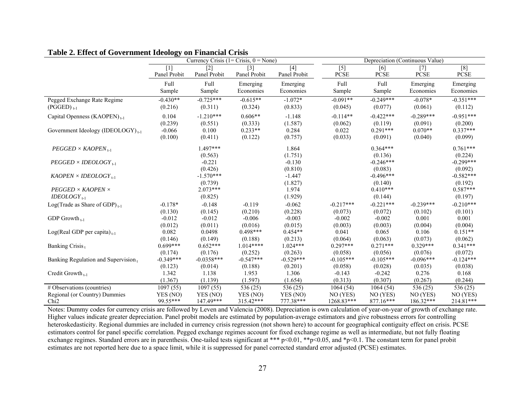|                                                            | Currency Crisis $(1 = Crisis, 0 = None)$ |                                   |                                   | Depreciation (Continuous Value) |                                |                                |                             |                             |
|------------------------------------------------------------|------------------------------------------|-----------------------------------|-----------------------------------|---------------------------------|--------------------------------|--------------------------------|-----------------------------|-----------------------------|
|                                                            | $[1]$<br>Panel Probit                    | $\lceil 2 \rceil$<br>Panel Probit | $\lceil 3 \rceil$<br>Panel Probit | $[4]$<br>Panel Probit           | $[5]$<br><b>PCSE</b>           | [6]<br><b>PCSE</b>             | $[7]$<br><b>PCSE</b>        | [8]<br>PCSE                 |
|                                                            | <b>Full</b><br>Sample                    | Full<br>Sample                    | Emerging<br>Economies             | Emerging<br>Economies           | Full<br>Sample                 | Full<br>Sample                 | Emerging<br>Economies       | Emerging<br>Economies       |
| Pegged Exchange Rate Regime<br>$(PGGED)_{t-1}$             | $-0.430**$<br>(0.216)                    | $-0.725***$<br>(0.311)            | $-0.615**$<br>(0.324)             | $-1.072*$<br>(0.833)            | $-0.091**$<br>(0.045)          | $-0.249***$<br>(0.077)         | $-0.078*$<br>(0.061)        | $-0.351***$<br>(0.112)      |
| Capital Openness (KAOPEN) <sub>1-1</sub>                   | 0.104<br>(0.239)                         | $-1.210***$<br>(0.551)            | $0.606**$<br>(0.333)              | $-1.148$<br>(1.587)             | $-0.114**$<br>(0.062)          | $-0.422***$<br>(0.119)         | $-0.289***$<br>(0.091)      | $-0.951***$<br>(0.200)      |
| Government Ideology (IDEOLOGY) <sub>t-1</sub>              | $-0.066$<br>(0.100)                      | 0.100<br>(0.411)                  | $0.233**$<br>(0.122)              | 0.284<br>(0.757)                | 0.022<br>(0.033)               | $0.291***$<br>(0.091)          | $0.070**$<br>(0.040)        | $0.337***$<br>(0.099)       |
| $PEGGED \times KAOPEN_{+1}$                                |                                          | $1.497***$<br>(0.563)             |                                   | 1.864<br>(1.751)                |                                | $0.364***$<br>(0.136)          |                             | $0.761***$<br>(0.224)       |
| $PEGGED \times IDEOLOGY_{t-1}$                             |                                          | $-0.221$<br>(0.426)               |                                   | $-0.130$<br>(0.810)             |                                | $-0.246***$<br>(0.083)         |                             | $-0.299***$<br>(0.092)      |
| $KAOPEN \times IDEOLOGY_{t-1}$                             |                                          | $-1.570***$<br>(0.739)            |                                   | $-1.447$<br>(1.827)             |                                | $-0.496***$<br>(0.140)         |                             | $-0.582***$<br>(0.192)      |
| $PEGGED \times KAOPEN \times$<br>$IDEOLOGY$ <sub>1-1</sub> |                                          | $2.073***$<br>(0.825)             |                                   | 1.974<br>(1.929)                |                                | $0.410***$<br>(0.144)          |                             | $0.587***$<br>(0.197)       |
| Log(Trade as Share of GDP) $_{t-1}$                        | $-0.178*$<br>(0.130)                     | $-0.148$<br>(0.145)               | $-0.119$<br>(0.210)               | $-0.062$<br>(0.228)             | $-0.217***$<br>(0.073)         | $-0.221***$<br>(0.072)         | $-0.239***$<br>(0.102)      | $-0.210***$<br>(0.101)      |
| GDP Growth $_{t-1}$                                        | $-0.012$<br>(0.012)                      | $-0.012$<br>(0.011)               | $-0.006$<br>(0.016)               | $-0.003$<br>(0.015)             | $-0.002$<br>(0.003)            | $-0.002$<br>(0.003)            | 0.001<br>(0.004)            | 0.001<br>(0.004)            |
| $Log(Real GDP per capita)_{t-1}$                           | 0.082<br>(0.146)                         | 0.0498<br>(0.149)                 | $0.498***$<br>(0.188)             | $0.454**$<br>(0.213)            | 0.041<br>(0.064)               | 0.065<br>(0.063)               | 0.106<br>(0.073)            | $0.151**$<br>(0.062)        |
| Banking Crisis <sub>t</sub>                                | $0.699***$<br>(0.174)                    | $0.652***$<br>(0.176)             | $1.014***$<br>(0.252)             | $1.024***$<br>(0.263)           | $0.297***$<br>(0.058)          | $0.271***$<br>(0.056)          | $0.329***$<br>(0.076)       | $0.341***$<br>(0.072)       |
| Banking Regulation and Supervision,                        | $-0.349***$                              | $-0.0358***$                      | $-0.547***$                       | $-0.529***$                     | $-0.105***$                    | $-0.105***$                    | $-0.096***$                 | $-0.124***$                 |
| Credit Growth <sub>1-1</sub>                               | (0.123)<br>1.342<br>(1.367)              | (0.014)<br>1.138<br>(1.139)       | (0.188)<br>1.953<br>(1.597)       | (0.201)<br>1.306<br>(1.654)     | (0.058)<br>$-0.143$<br>(0.313) | (0.028)<br>$-0.242$<br>(0.307) | (0.035)<br>0.276<br>(0.267) | (0.038)<br>0.168<br>(0.244) |
| # Observations (countries)                                 | $\overline{1097}$ (55)                   | 1097(55)                          | 536 $(25)$                        | 536(25)                         | 1064(54)                       | 1064(54)                       | 536(25)                     | 536 $(25)$                  |
| Regional (or Country) Dummies                              | YES (NO)                                 | YES (NO)                          | YES (NO)                          | YES (NO)                        | NO (YES)                       | NO (YES)                       | NO (YES)                    | NO (YES)                    |
| Chi <sub>2</sub>                                           | 99.55***                                 | 147.49***                         | 315.42***                         | 777.38***                       | 1268.83***                     | 877.16***                      | 186.32***                   | 214.81***                   |

# **Table 2. Effect of Government Ideology on Financial Crisis**

Notes: Dummy codes for currency crisis are followed by Leven and Valencia (2008). Depreciation is own calculation of year-on-year of growth of exchange rate. Higher values indicate greater depreciation. Panel probit models are estimated by population-average estimators and give robustness errors for controlling heteroskedasticity. Regional dummies are included in currency crisis regression (not shown here) to account for geographical contiguity effect on crisis. PCSE estimators control for panel specific correlation. Pegged exchange regimes account for fixed exchange regime as well as intermediate, but not fully floating exchange regimes. Standard errors are in parenthesis. One-tailed tests significant at \*\*\* p<0.01, \*\*p<0.05, and \*p<0.1. The constant term for panel probit estimates are not reported here due to a space limit, while it is suppressed for panel corrected standard error adjusted (PCSE) estimates.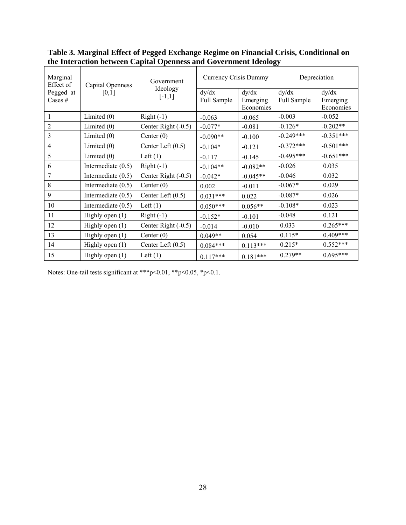| Marginal<br>Effect of  | Capital Openness     | Government           | Currency Crisis Dummy |                                | Depreciation         |                                |
|------------------------|----------------------|----------------------|-----------------------|--------------------------------|----------------------|--------------------------------|
| Pegged at<br>Cases $#$ | [0,1]                | Ideology<br>$[-1,1]$ | dy/dx<br>Full Sample  | dy/dx<br>Emerging<br>Economies | dy/dx<br>Full Sample | dy/dx<br>Emerging<br>Economies |
| $\mathbf{1}$           | Limited $(0)$        | $Right(-1)$          | $-0.063$              | $-0.065$                       | $-0.003$             | $-0.052$                       |
| $\overline{2}$         | Limited $(0)$        | Center Right (-0.5)  | $-0.077*$             | $-0.081$                       | $-0.126*$            | $-0.202**$                     |
| 3                      | Limited $(0)$        | Center $(0)$         | $-0.090**$            | $-0.100$                       | $-0.249***$          | $-0.351***$                    |
| $\overline{4}$         | Limited $(0)$        | Center Left $(0.5)$  | $-0.104*$             | $-0.121$                       | $-0.372***$          | $-0.501***$                    |
| 5                      | Limited $(0)$        | Left $(1)$           | $-0.117$              | $-0.145$                       | $-0.495***$          | $-0.651***$                    |
| 6                      | Intermediate $(0.5)$ | $Right(-1)$          | $-0.104**$            | $-0.082**$                     | $-0.026$             | 0.035                          |
| 7                      | Intermediate $(0.5)$ | Center Right (-0.5)  | $-0.042*$             | $-0.045**$                     | $-0.046$             | 0.032                          |
| 8                      | Intermediate $(0.5)$ | Center $(0)$         | 0.002                 | $-0.011$                       | $-0.067*$            | 0.029                          |
| 9                      | Intermediate $(0.5)$ | Center Left $(0.5)$  | $0.031***$            | 0.022                          | $-0.087*$            | 0.026                          |
| 10                     | Intermediate $(0.5)$ | Left $(1)$           | $0.050***$            | $0.056**$                      | $-0.108*$            | 0.023                          |
| 11                     | Highly open $(1)$    | $Right(-1)$          | $-0.152*$             | $-0.101$                       | $-0.048$             | 0.121                          |
| 12                     | Highly open $(1)$    | Center Right (-0.5)  | $-0.014$              | $-0.010$                       | 0.033                | $0.265***$                     |
| 13                     | Highly open (1)      | Center $(0)$         | $0.049**$             | 0.054                          | $0.115*$             | $0.409***$                     |
| 14                     | Highly open $(1)$    | Center Left $(0.5)$  | $0.084***$            | $0.113***$                     | $0.215*$             | $0.552***$                     |
| 15                     | Highly open $(1)$    | Left $(1)$           | $0.117***$            | $0.181***$                     | $0.279**$            | $0.695***$                     |

**Table 3. Marginal Effect of Pegged Exchange Regime on Financial Crisis, Conditional on the Interaction between Capital Openness and Government Ideology** 

Notes: One-tail tests significant at \*\*\*p<0.01, \*\*p<0.05, \*p<0.1.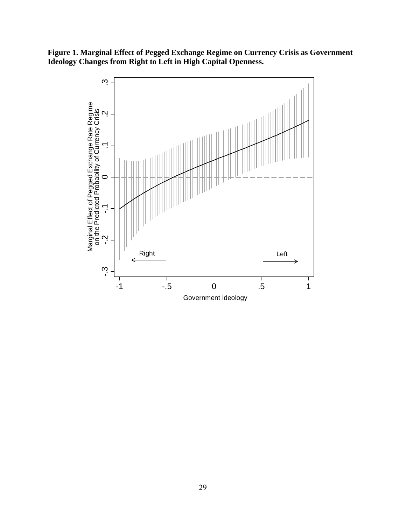**Figure 1. Marginal Effect of Pegged Exchange Regime on Currency Crisis as Government Ideology Changes from Right to Left in High Capital Openness.** 

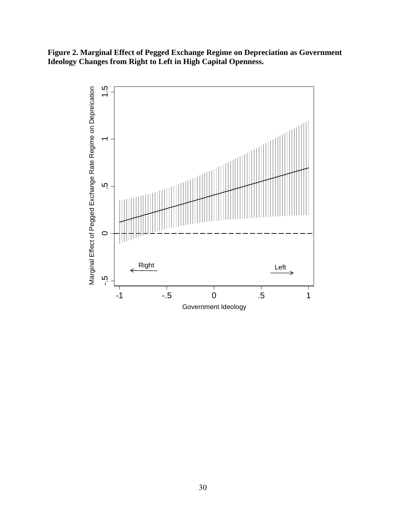**Figure 2. Marginal Effect of Pegged Exchange Regime on Depreciation as Government Ideology Changes from Right to Left in High Capital Openness.** 

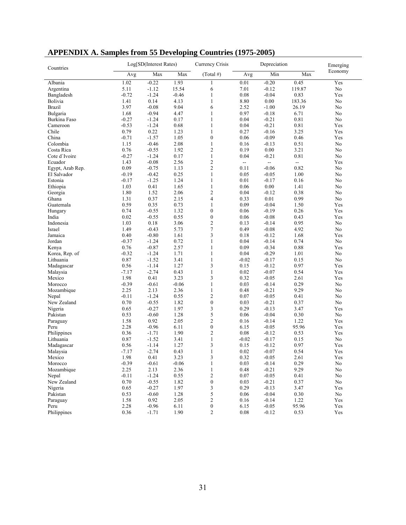| Countries        | Log[SD(Interest Rates) |         |         | Currency Crisis  | Depreciation |         |                          | Emerging       |
|------------------|------------------------|---------|---------|------------------|--------------|---------|--------------------------|----------------|
|                  | Avg                    | Max     | Max     | $(Total \#)$     | Avg          | Min     | Max                      | Economy        |
| Albania          | 1.02                   | $-0.22$ | 1.93    | 1                | 0.01         | $-0.20$ | 0.45                     | Yes            |
| Argentina        | 5.11                   | $-1.12$ | 15.54   | 6                | 7.01         | $-0.12$ | 119.87                   | No             |
| Bangladesh       | $-0.72$                | $-1.24$ | $-0.46$ | 1                | 0.08         | $-0.04$ | 0.83                     | Yes            |
| Bolivia          | 1.41                   | 0.14    | 4.13    | $\mathbf{1}$     | 8.80         | 0.00    | 183.36                   | No             |
| <b>Brazil</b>    | 3.97                   | $-0.08$ | 9.04    | 6                | 2.52         | $-1.00$ | 26.19                    | No             |
| Bulgaria         | 1.68                   | $-0.94$ | 4.47    | $\mathbf{1}$     | 0.97         | $-0.18$ | 6.71                     | No             |
| Burkina Faso     | $-0.27$                | $-1.24$ | 0.17    | $\mathbf{1}$     | 0.04         | $-0.21$ | 0.81                     | No             |
| Cameroon         | $-0.53$                | $-1.24$ | 0.68    | $\mathbf{1}$     | 0.04         | $-0.21$ | 0.81                     | Yes            |
| Chile            | 0.79                   | 0.22    | 1.23    | $\mathbf{1}$     | 0.27         | $-0.16$ | 3.25                     | Yes            |
| China            | $-0.71$                | $-1.57$ | 1.05    | $\boldsymbol{0}$ | 0.06         | $-0.09$ | 0.46                     | Yes            |
| Colombia         | 1.15                   | $-0.46$ | 2.08    | $\mathbf{1}$     | 0.16         | $-0.13$ | 0.51                     | No             |
| Costa Rica       | 0.76                   | $-0.55$ | 1.92    | $\overline{c}$   | 0.19         | 0.00    | 3.21                     | N <sub>o</sub> |
| Cote d'Ivoire    | $-0.27$                | $-1.24$ | 0.17    | $\mathbf{1}$     | 0.04         | $-0.21$ | 0.81                     | No             |
| Ecuador          | 1.43                   | $-0.08$ | 2.56    | $\overline{c}$   | $\sim$       | н.      | $\overline{\phantom{a}}$ | Yes            |
| Egypt, Arab Rep. | 0.09                   | $-0.75$ | 1.13    | $\overline{c}$   | 0.11         | $-0.06$ | 0.82                     | No             |
| El Salvador      | $-0.19$                | $-0.42$ | 0.25    | $\mathbf{1}$     | 0.05         | $-0.05$ | 1.00                     | No             |
| Estonia          | $-0.17$                | $-1.25$ | 1.24    | $\mathbf{1}$     | 0.01         | $-0.17$ | 0.16                     | No             |
| Ethiopia         | 1.03                   | 0.41    | 1.65    | $\mathbf{1}$     | 0.06         | 0.00    | 1.41                     | No             |
| Georgia          | 1.80                   | 1.52    | 2.06    | $\overline{2}$   | 0.04         | $-0.12$ | 0.38                     | No             |
| Ghana            | 1.31                   | 0.37    | 2.15    | $\overline{4}$   | 0.33         | 0.01    | 0.99                     | No             |
| Guatemala        | 0.59                   | 0.35    | 0.73    | $\mathbf{1}$     | 0.09         | $-0.04$ | 1.50                     | Yes            |
| Hungary          | 0.74                   | $-0.55$ | 1.32    | $\mathbf{0}$     | 0.06         | $-0.19$ | 0.26                     | Yes            |
| India            | 0.02                   | $-0.55$ | 0.55    | $\boldsymbol{0}$ | 0.06         | $-0.08$ | 0.43                     | Yes            |
| Indonesia        | 1.03                   | 0.18    | 3.06    | $\overline{c}$   | 0.13         | $-0.14$ | 0.95                     | No             |
| Israel           | 1.49                   | $-0.43$ | 5.73    | $\overline{7}$   | 0.49         | $-0.08$ | 4.92                     | No             |
| Jamaica          | 0.40                   | $-0.80$ | 1.61    | 3                | 0.18         | $-0.12$ | 1.68                     | Yes            |
| Jordan           | $-0.37$                | $-1.24$ | 0.72    | $\mathbf{1}$     | 0.04         | $-0.14$ | 0.74                     | N <sub>o</sub> |
| Kenya            | 0.76                   | $-0.87$ | 2.57    | 1                | 0.09         | $-0.34$ | 0.88                     | Yes            |
|                  |                        |         |         |                  |              |         |                          |                |
| Korea, Rep. of   | $-0.32$                | $-1.24$ | 1.71    | $\mathbf{1}$     | 0.04         | $-0.29$ | 1.01                     | No             |
| Lithuania        | 0.87                   | $-1.52$ | 3.41    | $\mathbf{1}$     | $-0.02$      | $-0.17$ | 0.15                     | No             |
| Madagascar       | 0.56                   | $-1.14$ | 1.27    | 3                | 0.15         | $-0.12$ | 0.97                     | Yes            |
| Malaysia         | $-7.17$                | $-2.74$ | 0.43    | $\mathbf{1}$     | 0.02         | $-0.07$ | 0.54                     | Yes            |
| Mexico           | 1.98                   | 0.41    | 3.23    | 3                | 0.32         | $-0.05$ | 2.61                     | Yes            |
| Morocco          | $-0.39$                | $-0.61$ | $-0.06$ | $\mathbf{1}$     | 0.03         | $-0.14$ | 0.29                     | No             |
| Mozambique       | 2.25                   | 2.13    | 2.36    | $\mathbf{1}$     | 0.48         | $-0.21$ | 9.29                     | No             |
| Nepal            | $-0.11$                | $-1.24$ | 0.55    | $\mathfrak{2}$   | 0.07         | $-0.05$ | 0.41                     | No             |
| New Zealand      | 0.70                   | $-0.55$ | 1.82    | $\boldsymbol{0}$ | 0.03         | $-0.21$ | 0.37                     | No             |
| Nigeria          | 0.65                   | $-0.27$ | 1.97    | 3                | 0.29         | $-0.13$ | 3.47                     | Yes            |
| Pakistan         | 0.53                   | $-0.60$ | 1.28    | 5                | 0.06         | $-0.04$ | 0.30                     | No             |
| Paraguay         | 1.58                   | 0.92    | 2.05    | $\overline{c}$   | 0.16         | $-0.14$ | 1.22                     | Yes            |
| Peru             | 2.28                   | $-0.96$ | 6.11    | $\boldsymbol{0}$ | 6.15         | $-0.05$ | 95.96                    | Yes            |
| Philippines      | 0.36                   | $-1.71$ | 1.90    | $\overline{c}$   | 0.08         | $-0.12$ | 0.53                     | Yes            |
| Lithuania        | 0.87                   | $-1.52$ | 3.41    | $\mathbf{1}$     | $-0.02$      | $-0.17$ | 0.15                     | No             |
| Madagascar       | 0.56                   | $-1.14$ | 1.27    | 3                | 0.15         | $-0.12$ | 0.97                     | Yes            |
| Malaysia         | $-7.17$                | $-2.74$ | 0.43    | 1                | 0.02         | $-0.07$ | 0.54                     | Yes            |
| Mexico           | 1.98                   | 0.41    | 3.23    | 3                | 0.32         | $-0.05$ | 2.61                     | Yes            |
| Morocco          | $-0.39$                | $-0.61$ | $-0.06$ | $\mathbf{1}$     | 0.03         | $-0.14$ | 0.29                     | No             |
| Mozambique       | 2.25                   | 2.13    | 2.36    | 1                | 0.48         | $-0.21$ | 9.29                     | No             |
| Nepal            | $-0.11$                | $-1.24$ | 0.55    | $\boldsymbol{2}$ | 0.07         | $-0.05$ | 0.41                     | No             |
| New Zealand      | 0.70                   | $-0.55$ | 1.82    | $\boldsymbol{0}$ | 0.03         | $-0.21$ | 0.37                     | No             |
| Nigeria          | 0.65                   | $-0.27$ | 1.97    | 3                | 0.29         | $-0.13$ | 3.47                     | Yes            |
| Pakistan         | 0.53                   | $-0.60$ | 1.28    | 5                | 0.06         | $-0.04$ | 0.30                     | No             |
| Paraguay         | 1.58                   | 0.92    | 2.05    | $\sqrt{2}$       | 0.16         | $-0.14$ | 1.22                     | Yes            |
| Peru             | 2.28                   | $-0.96$ | 6.11    | $\boldsymbol{0}$ | 6.15         | $-0.05$ | 95.96                    | Yes            |
| Philippines      | 0.36                   | $-1.71$ | 1.90    | $\overline{c}$   | 0.08         | $-0.12$ | 0.53                     | Yes            |

**APPENDIX A. Samples from 55 Developing Countries (1975-2005)**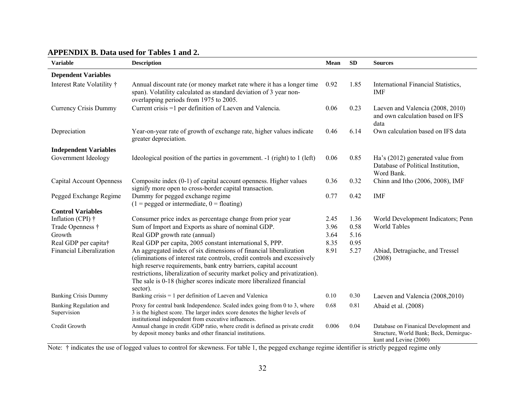| APPENDIX B. Data used for Tables 1 and 2. |  |  |  |
|-------------------------------------------|--|--|--|
|-------------------------------------------|--|--|--|

| <b>Variable</b>                       | <b>Description</b>                                                                                                                                                                                                                                                                                                                                                                | Mean  | <b>SD</b> | <b>Sources</b>                                                                                            |
|---------------------------------------|-----------------------------------------------------------------------------------------------------------------------------------------------------------------------------------------------------------------------------------------------------------------------------------------------------------------------------------------------------------------------------------|-------|-----------|-----------------------------------------------------------------------------------------------------------|
| <b>Dependent Variables</b>            |                                                                                                                                                                                                                                                                                                                                                                                   |       |           |                                                                                                           |
| Interest Rate Volatility †            | Annual discount rate (or money market rate where it has a longer time<br>span). Volatility calculated as standard deviation of 3 year non-<br>overlapping periods from 1975 to 2005.                                                                                                                                                                                              | 0.92  | 1.85      | International Financial Statistics,<br>IMF                                                                |
| Currency Crisis Dummy                 | Current crisis =1 per definition of Laeven and Valencia.                                                                                                                                                                                                                                                                                                                          | 0.06  | 0.23      | Laeven and Valencia (2008, 2010)<br>and own calculation based on IFS<br>data                              |
| Depreciation                          | Year-on-year rate of growth of exchange rate, higher values indicate<br>greater depreciation.                                                                                                                                                                                                                                                                                     | 0.46  | 6.14      | Own calculation based on IFS data                                                                         |
| <b>Independent Variables</b>          |                                                                                                                                                                                                                                                                                                                                                                                   |       |           |                                                                                                           |
| Government Ideology                   | Ideological position of the parties in government. -1 (right) to 1 (left)                                                                                                                                                                                                                                                                                                         | 0.06  | 0.85      | Ha's (2012) generated value from<br>Database of Political Institution,<br>Word Bank.                      |
| <b>Capital Account Openness</b>       | Composite index (0-1) of capital account openness. Higher values<br>signify more open to cross-border capital transaction.                                                                                                                                                                                                                                                        | 0.36  | 0.32      | Chinn and Itho (2006, 2008), IMF                                                                          |
| Pegged Exchange Regime                | Dummy for pegged exchange regime<br>$(1 =$ pegged or intermediate, $0 =$ floating)                                                                                                                                                                                                                                                                                                | 0.77  | 0.42      | <b>IMF</b>                                                                                                |
| <b>Control Variables</b>              |                                                                                                                                                                                                                                                                                                                                                                                   |       |           |                                                                                                           |
| Inflation (CPI) $\dagger$             | Consumer price index as percentage change from prior year                                                                                                                                                                                                                                                                                                                         | 2.45  | 1.36      | World Development Indicators; Penn                                                                        |
| Trade Openness †                      | Sum of Import and Exports as share of nominal GDP.                                                                                                                                                                                                                                                                                                                                | 3.96  | 0.58      | <b>World Tables</b>                                                                                       |
| Growth                                | Real GDP growth rate (annual)                                                                                                                                                                                                                                                                                                                                                     | 3.64  | 5.16      |                                                                                                           |
| Real GDP per capita†                  | Real GDP per capita, 2005 constant international \$, PPP.                                                                                                                                                                                                                                                                                                                         | 8.35  | 0.95      |                                                                                                           |
| Financial Liberalization              | An aggregated index of six dimensions of financial liberalization<br>(eliminations of interest rate controls, credit controls and excessively<br>high reserve requirements, bank entry barriers, capital account<br>restrictions, liberalization of security market policy and privatization).<br>The sale is 0-18 (higher scores indicate more liberalized financial<br>sector). | 8.91  | 5.27      | Abiad, Detragiache, and Tressel<br>(2008)                                                                 |
| <b>Banking Crisis Dummy</b>           | Banking crisis $= 1$ per definition of Laeven and Valenica                                                                                                                                                                                                                                                                                                                        | 0.10  | 0.30      | Laeven and Valencia (2008,2010)                                                                           |
| Banking Regulation and<br>Supervision | Proxy for central bank Independence. Scaled index going from 0 to 3, where<br>3 is the highest score. The larger index score denotes the higher levels of<br>institutional independent from executive influences.                                                                                                                                                                 | 0.68  | 0.81      | Abaid et al. (2008)                                                                                       |
| Credit Growth                         | Annual change in credit /GDP ratio, where credit is defined as private credit<br>by deposit money banks and other financial institutions.                                                                                                                                                                                                                                         | 0.006 | 0.04      | Database on Finanical Development and<br>Structure, World Bank; Beck, Demirguc-<br>kunt and Levine (2000) |

Note: † indicates the use of logged values to control for skewness. For table 1, the pegged exchange regime identifier is strictly pegged regime only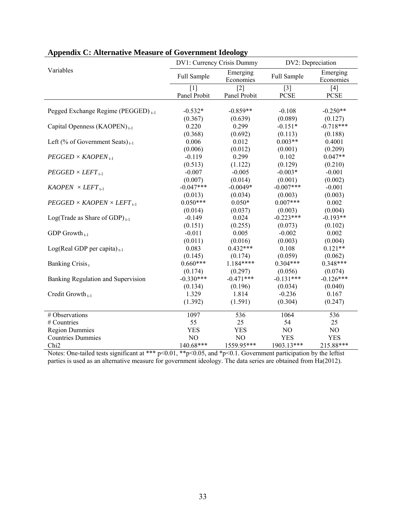|                                                | DV1: Currency Crisis Dummy |                       | DV2: Depreciation    |                       |  |
|------------------------------------------------|----------------------------|-----------------------|----------------------|-----------------------|--|
| Variables                                      | Full Sample                | Emerging<br>Economies | Full Sample          | Emerging<br>Economies |  |
|                                                | $[1]$<br>Panel Probit      | $[2]$<br>Panel Probit | $[3]$<br><b>PCSE</b> | $[4]$<br><b>PCSE</b>  |  |
| Pegged Exchange Regime (PEGGED) <sub>t-1</sub> | $-0.532*$                  | $-0.859**$            | $-0.108$             | $-0.250**$            |  |
|                                                | (0.367)                    | (0.639)               | (0.089)              | (0.127)               |  |
| Capital Openness (KAOPEN) <sub>t-1</sub>       | 0.220                      | 0.299                 | $-0.151*$            | $-0.718***$           |  |
|                                                | (0.368)                    | (0.692)               | (0.113)              | (0.188)               |  |
| Left (% of Government Seats) <sub>t-1</sub>    | 0.006                      | 0.012                 | $0.003**$            | 0.4001                |  |
|                                                | (0.006)                    | (0.012)               | (0.001)              | (0.209)               |  |
| $PEGGED \times KAOPEN_{t-1}$                   | $-0.119$                   | 0.299                 | 0.102                | $0.047**$             |  |
|                                                | (0.513)                    | (1.122)               | (0.129)              | (0.210)               |  |
| $PEGGED \times LEFT_{t-1}$                     | $-0.007$                   | $-0.005$              | $-0.003*$            | $-0.001$              |  |
|                                                | (0.007)                    | (0.014)               | (0.001)              | (0.002)               |  |
| $KAOPEN \times LEFT_{t-1}$                     | $-0.047***$                | $-0.0049*$            | $-0.007***$          | $-0.001$              |  |
|                                                | (0.013)                    | (0.034)               | (0.003)              | (0.003)               |  |
| $PEGGED \times KAOPEN \times LEFT_{t-1}$       | $0.050***$                 | $0.050*$              | $0.007***$           | 0.002                 |  |
|                                                | (0.014)                    | (0.037)               | (0.003)              | (0.004)               |  |
| Log(Trade as Share of GDP) $_{t-1}$            | $-0.149$                   | 0.024                 | $-0.223***$          | $-0.193**$            |  |
|                                                | (0.151)                    | (0.255)               | (0.073)              | (0.102)               |  |
| GDP Growth $_{t-1}$                            | $-0.011$                   | 0.005                 | $-0.002$             | 0.002                 |  |
|                                                | (0.011)                    | (0.016)               | (0.003)              | (0.004)               |  |
| $Log(Real GDP per capita)_{t-1}$               | 0.083                      | $0.432***$            | 0.108                | $0.121**$             |  |
|                                                | (0.145)                    | (0.174)               | (0.059)              | (0.062)               |  |
| Banking Crisis <sub>t</sub>                    | $0.660***$                 | $1.184***$            | $0.304***$           | $0.348***$            |  |
|                                                | (0.174)                    | (0.297)               | (0.056)              | (0.074)               |  |
| Banking Regulation and Supervision             | $-0.330***$                | $-0.471***$           | $-0.131***$          | $-0.126***$           |  |
|                                                | (0.134)                    | (0.196)               | (0.034)              | (0.040)               |  |
| Credit Growth <sub>t-1</sub>                   | 1.329                      | 1.814                 | $-0.236$             | 0.167                 |  |
|                                                | (1.392)                    | (1.591)               | (0.304)              | (0.247)               |  |
| # Observations                                 | 1097                       | 536                   | 1064                 | 536                   |  |
| # Countries                                    | 55                         | 25                    | 54                   | 25                    |  |
| <b>Region Dummies</b>                          | <b>YES</b>                 | <b>YES</b>            | NO                   | NO                    |  |
| <b>Countries Dummies</b>                       | NO                         | N <sub>O</sub>        | <b>YES</b>           | <b>YES</b>            |  |
| Chi <sub>2</sub>                               | 140.68***                  | 1559.95***            | 1903.13***           | 215.88***             |  |

|--|

Notes: One-tailed tests significant at \*\*\*  $p<0.01$ , \*\*p $<0.05$ , and \*p $<0.1$ . Government participation by the leftist parties is used as an alternative measure for government ideology. The data series are obtained from Ha(2012).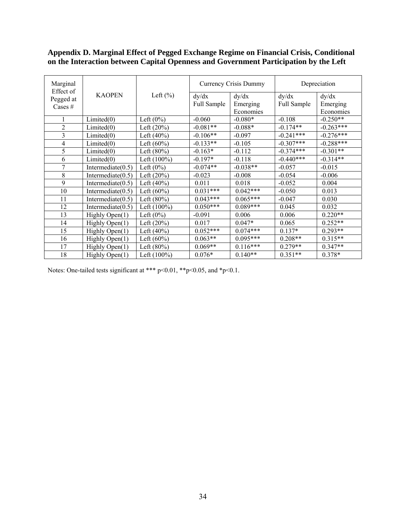# **Appendix D. Marginal Effect of Pegged Exchange Regime on Financial Crisis, Conditional on the Interaction between Capital Openness and Government Participation by the Left**

| Marginal<br>Effect of  |                      |                |                      | Currency Crisis Dummy          | Depreciation         |                                |
|------------------------|----------------------|----------------|----------------------|--------------------------------|----------------------|--------------------------------|
| Pegged at<br>Cases $#$ | <b>KAOPEN</b>        | Left $(\%)$    | dy/dx<br>Full Sample | dy/dx<br>Emerging<br>Economies | dy/dx<br>Full Sample | dy/dx<br>Emerging<br>Economies |
| 1                      | Limited(0)           | Left $(0\%)$   | $-0.060$             | $-0.080*$                      | $-0.108$             | $-0.250**$                     |
| $\overline{2}$         | Limited(0)           | Left $(20%)$   | $-0.081**$           | $-0.088*$                      | $-0.174**$           | $-0.263***$                    |
| 3                      | Limited(0)           | Left $(40%)$   | $-0.106**$           | $-0.097$                       | $-0.241***$          | $-0.276***$                    |
| $\overline{4}$         | Limited(0)           | Left $(60\%)$  | $-0.133**$           | $-0.105$                       | $-0.307***$          | $-0.288***$                    |
| 5                      | Limited(0)           | Left $(80%)$   | $-0.163*$            | $-0.112$                       | $-0.374***$          | $-0.301**$                     |
| 6                      | Limited(0)           | Left $(100\%)$ | $-0.197*$            | $-0.118$                       | $-0.440***$          | $-0.314**$                     |
| 7                      | Intermediate $(0.5)$ | Left $(0\%)$   | $-0.074**$           | $-0.038**$                     | $-0.057$             | $-0.015$                       |
| 8                      | Intermediate $(0.5)$ | Left $(20%)$   | $-0.023$             | $-0.008$                       | $-0.054$             | $-0.006$                       |
| 9                      | Intermediate $(0.5)$ | Left $(40\%)$  | 0.011                | 0.018                          | $-0.052$             | 0.004                          |
| 10                     | Intermediate $(0.5)$ | Left $(60\%)$  | $0.031***$           | $0.042***$                     | $-0.050$             | 0.013                          |
| 11                     | Intermediate $(0.5)$ | Left $(80%)$   | $0.043***$           | $0.065***$                     | $-0.047$             | 0.030                          |
| 12                     | Intermediate $(0.5)$ | Left $(100\%)$ | $0.050***$           | $0.089***$                     | 0.045                | 0.032                          |
| 13                     | Highly Open(1)       | Left $(0\%)$   | $-0.091$             | 0.006                          | 0.006                | $0.220**$                      |
| 14                     | Highly Open(1)       | Left $(20%)$   | 0.017                | $0.047*$                       | 0.065                | $0.252**$                      |
| 15                     | Highly Open(1)       | Left $(40%)$   | $0.052***$           | $0.074***$                     | $0.137*$             | $0.293**$                      |
| 16                     | Highly Open(1)       | Left $(60\%)$  | $0.063**$            | $0.095***$                     | $0.208**$            | $0.315**$                      |
| 17                     | Highly Open(1)       | Left $(80%)$   | $0.069**$            | $0.116***$                     | $0.279**$            | $0.347**$                      |
| 18                     | Highly Open(1)       | Left (100%)    | $0.076*$             | $0.140**$                      | $0.351**$            | $0.378*$                       |

Notes: One-tailed tests significant at \*\*\* p<0.01, \*\*p<0.05, and \*p<0.1.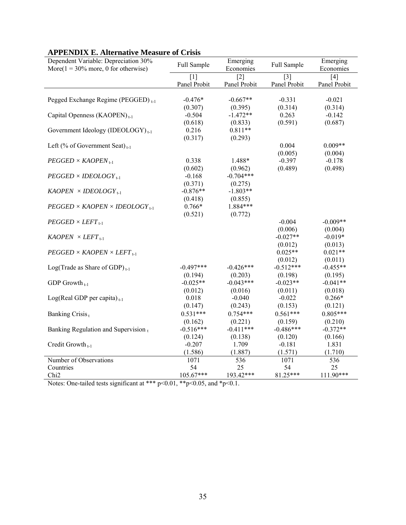| Dependent Variable: Depreciation 30%<br>More( $1 = 30\%$ more, 0 for otherwise) | Full Sample         | Emerging<br>Economies             | Full Sample           | Emerging<br>Economies |
|---------------------------------------------------------------------------------|---------------------|-----------------------------------|-----------------------|-----------------------|
|                                                                                 | [1]<br>Panel Probit | $\lceil 2 \rceil$<br>Panel Probit | $[3]$<br>Panel Probit | [4]<br>Panel Probit   |
| Pegged Exchange Regime (PEGGED) <sub>t-1</sub>                                  | $-0.476*$           | $-0.667**$                        | $-0.331$              | $-0.021$              |
|                                                                                 | (0.307)             | (0.395)                           | (0.314)               | (0.314)               |
| Capital Openness (KAOPEN) <sub>t-1</sub>                                        | $-0.504$            | $-1.472**$                        | 0.263                 | $-0.142$              |
|                                                                                 | (0.618)             | (0.833)                           | (0.591)               | (0.687)               |
| Government Ideology (IDEOLOGY) $_{t-1}$                                         | 0.216               | $0.811**$                         |                       |                       |
|                                                                                 | (0.317)             | (0.293)                           |                       |                       |
| Left (% of Government Seat) <sub>t-1</sub>                                      |                     |                                   | 0.004                 | $0.009**$             |
|                                                                                 | 0.338               | 1.488*                            | (0.005)<br>$-0.397$   | (0.004)<br>$-0.178$   |
| $PEGGED \times KAOPEN_{t-1}$                                                    |                     |                                   | (0.489)               | (0.498)               |
| $PEGGED \times IDEOLOGY$ <sub>1-1</sub>                                         | (0.602)<br>$-0.168$ | (0.962)<br>$-0.704***$            |                       |                       |
|                                                                                 | (0.371)             | (0.275)                           |                       |                       |
| $KAOPEN \times IDEOLOGY_{t-1}$                                                  | $-0.876**$          | $-1.803**$                        |                       |                       |
|                                                                                 | (0.418)             | (0.855)                           |                       |                       |
| $PEGGED \times KAOPEN \times IDEOLOGY_{t-1}$                                    | $0.766*$            | 1.884***                          |                       |                       |
|                                                                                 | (0.521)             | (0.772)                           |                       |                       |
| $PEGGED \times LEFT_{t-1}$                                                      |                     |                                   | $-0.004$              | $-0.009**$            |
|                                                                                 |                     |                                   | (0.006)               | (0.004)               |
| $KAOPEN \times LEFT_{t-1}$                                                      |                     |                                   | $-0.027**$            | $-0.019*$             |
|                                                                                 |                     |                                   | (0.012)               | (0.013)               |
| $PEGGED \times KAOPEN \times LEFT_{t-1}$                                        |                     |                                   | $0.025**$             | $0.021**$             |
|                                                                                 |                     |                                   | (0.012)               | (0.011)               |
| Log(Trade as Share of GDP) $_{t-1}$                                             | $-0.497***$         | $-0.426***$                       | $-0.512***$           | $-0.455**$            |
|                                                                                 | (0.194)             | (0.203)                           | (0.198)               | (0.195)               |
| GDP Growth $_{t-1}$                                                             | $-0.025**$          | $-0.043***$                       | $-0.023**$            | $-0.041**$            |
|                                                                                 | (0.012)             | (0.016)                           | (0.011)               | (0.018)               |
| $Log(Real GDP per capita)_{t-1}$                                                | 0.018               | $-0.040$                          | $-0.022$              | $0.266*$              |
|                                                                                 | (0.147)             | (0.243)                           | (0.153)               | (0.121)               |
| Banking Crisis <sub>t</sub>                                                     | $0.531***$          | $0.754***$                        | $0.561***$            | $0.805***$            |
|                                                                                 | (0.162)             | (0.221)                           | (0.159)               | (0.210)               |
| Banking Regulation and Supervision,                                             | $-0.516***$         | $-0.411***$                       | $-0.486***$           | $-0.372**$            |
|                                                                                 | (0.124)             | (0.138)                           | (0.120)               | (0.166)               |
| Credit Growth <sub>1-1</sub>                                                    | $-0.207$            | 1.709                             | $-0.181$              | 1.831                 |
|                                                                                 | (1.586)             | (1.887)                           | (1.571)               | (1.710)               |
| Number of Observations                                                          | 1071                | 536                               | 1071                  | 536                   |
| Countries<br>Chi <sub>2</sub>                                                   | 54<br>$105.67***$   | 25<br>193.42***                   | 54<br>81.25***        | 25<br>$111.90***$     |
|                                                                                 |                     |                                   |                       |                       |

# **APPENDIX E. Alternative Measure of Crisis**

Notes: One-tailed tests significant at \*\*\*  $p<0.01$ , \*\* $p<0.05$ , and \* $p<0.1$ .